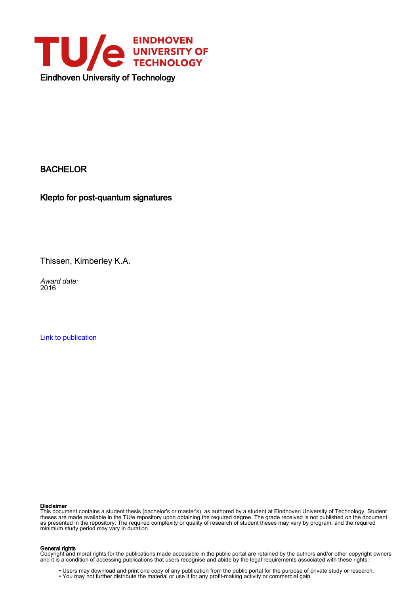

### BACHELOR

Klepto for post-quantum signatures

Thissen, Kimberley K.A.

Award date: 2016

[Link to publication](https://research.tue.nl/en/studentTheses/b39315d0-54d4-4dc3-856b-2eb0c3d801ae)

#### Disclaimer

This document contains a student thesis (bachelor's or master's), as authored by a student at Eindhoven University of Technology. Student theses are made available in the TU/e repository upon obtaining the required degree. The grade received is not published on the document as presented in the repository. The required complexity or quality of research of student theses may vary by program, and the required minimum study period may vary in duration.

#### General rights

Copyright and moral rights for the publications made accessible in the public portal are retained by the authors and/or other copyright owners and it is a condition of accessing publications that users recognise and abide by the legal requirements associated with these rights.

• Users may download and print one copy of any publication from the public portal for the purpose of private study or research.<br>• You may not further distribute the material or use it for any profit-making activity or comm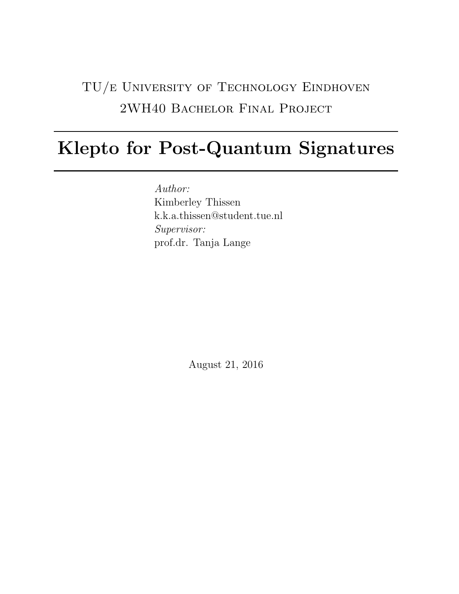# TU/e University of Technology Eindhoven 2WH40 Bachelor Final Project

# Klepto for Post-Quantum Signatures

Author: Kimberley Thissen k.k.a.thissen@student.tue.nl Supervisor: prof.dr. Tanja Lange

August 21, 2016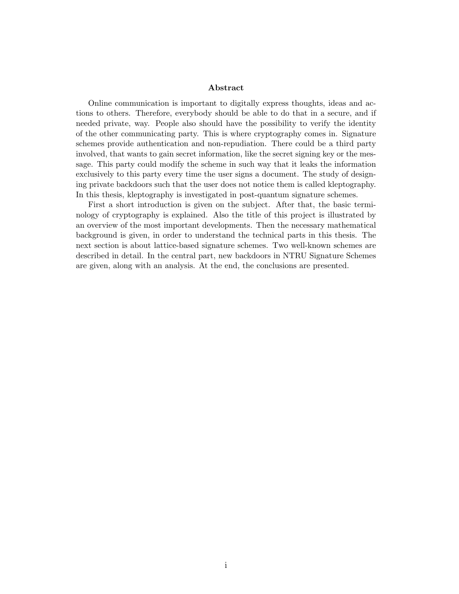#### Abstract

Online communication is important to digitally express thoughts, ideas and actions to others. Therefore, everybody should be able to do that in a secure, and if needed private, way. People also should have the possibility to verify the identity of the other communicating party. This is where cryptography comes in. Signature schemes provide authentication and non-repudiation. There could be a third party involved, that wants to gain secret information, like the secret signing key or the message. This party could modify the scheme in such way that it leaks the information exclusively to this party every time the user signs a document. The study of designing private backdoors such that the user does not notice them is called kleptography. In this thesis, kleptography is investigated in post-quantum signature schemes.

First a short introduction is given on the subject. After that, the basic terminology of cryptography is explained. Also the title of this project is illustrated by an overview of the most important developments. Then the necessary mathematical background is given, in order to understand the technical parts in this thesis. The next section is about lattice-based signature schemes. Two well-known schemes are described in detail. In the central part, new backdoors in NTRU Signature Schemes are given, along with an analysis. At the end, the conclusions are presented.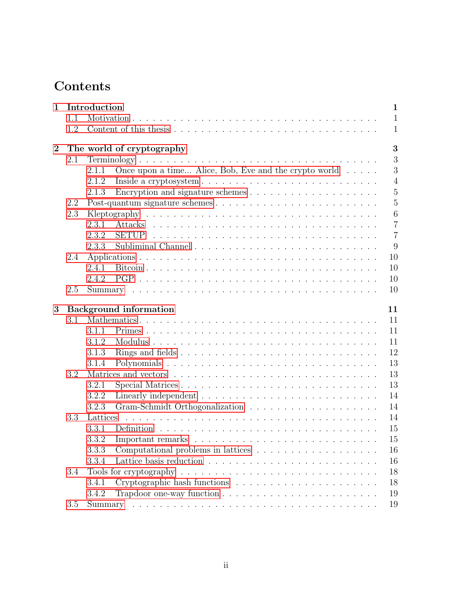# Contents

| $\mathbf{1}$     |                                     | Introduction                                                                                              | $\mathbf{1}$   |  |  |  |  |  |
|------------------|-------------------------------------|-----------------------------------------------------------------------------------------------------------|----------------|--|--|--|--|--|
|                  | 1.1                                 |                                                                                                           | $\mathbf{1}$   |  |  |  |  |  |
|                  | 1.2                                 |                                                                                                           | $\mathbf{1}$   |  |  |  |  |  |
| $\boldsymbol{2}$ |                                     | The world of cryptography                                                                                 | 3              |  |  |  |  |  |
|                  | 2.1                                 |                                                                                                           | 3              |  |  |  |  |  |
|                  |                                     | Once upon a time Alice, Bob, Eve and the crypto world $\ldots$ .<br>2.1.1                                 | 3              |  |  |  |  |  |
|                  |                                     | 2.1.2                                                                                                     | $\overline{4}$ |  |  |  |  |  |
|                  |                                     | 2.1.3                                                                                                     | $\overline{5}$ |  |  |  |  |  |
|                  | 2.2                                 |                                                                                                           | $\overline{5}$ |  |  |  |  |  |
|                  | 2.3                                 |                                                                                                           | $\overline{6}$ |  |  |  |  |  |
|                  |                                     | 2.3.1                                                                                                     | $\overline{7}$ |  |  |  |  |  |
|                  |                                     | 2.3.2                                                                                                     | $\overline{7}$ |  |  |  |  |  |
|                  |                                     | 2.3.3                                                                                                     | 9              |  |  |  |  |  |
|                  | 2.4                                 |                                                                                                           | 10             |  |  |  |  |  |
|                  |                                     | 2.4.1                                                                                                     | 10             |  |  |  |  |  |
|                  |                                     | 2.4.2                                                                                                     | 10             |  |  |  |  |  |
|                  | 2.5                                 |                                                                                                           | 10             |  |  |  |  |  |
| 3                | <b>Background</b> information<br>11 |                                                                                                           |                |  |  |  |  |  |
|                  | 3.1                                 |                                                                                                           | 11             |  |  |  |  |  |
|                  |                                     | 3.1.1                                                                                                     | 11             |  |  |  |  |  |
|                  |                                     | 3.1.2                                                                                                     | 11             |  |  |  |  |  |
|                  |                                     | 3.1.3                                                                                                     | 12             |  |  |  |  |  |
|                  |                                     | 3.1.4                                                                                                     | 13             |  |  |  |  |  |
|                  | 3.2                                 |                                                                                                           | 13             |  |  |  |  |  |
|                  |                                     | 3.2.1                                                                                                     | 13             |  |  |  |  |  |
|                  |                                     | 3.2.2                                                                                                     | 14             |  |  |  |  |  |
|                  |                                     | 3.2.3                                                                                                     | 14             |  |  |  |  |  |
|                  | 3.3                                 | Lattices                                                                                                  | 14             |  |  |  |  |  |
|                  |                                     | 3.3.1                                                                                                     | 15             |  |  |  |  |  |
|                  |                                     | Important remarks $\ldots \ldots \ldots \ldots \ldots \ldots \ldots \ldots \ldots \ldots \ldots$<br>3.3.2 | $15\,$         |  |  |  |  |  |
|                  |                                     | 3.3.3                                                                                                     | 16             |  |  |  |  |  |
|                  |                                     | 3.3.4                                                                                                     | 16             |  |  |  |  |  |
|                  | 3.4                                 | Tools for cryptography $\ldots \ldots \ldots \ldots \ldots \ldots \ldots \ldots \ldots \ldots$            | 18             |  |  |  |  |  |
|                  |                                     |                                                                                                           | 18             |  |  |  |  |  |
|                  |                                     |                                                                                                           |                |  |  |  |  |  |
|                  |                                     | 3.4.1<br>3.4.2                                                                                            | 19             |  |  |  |  |  |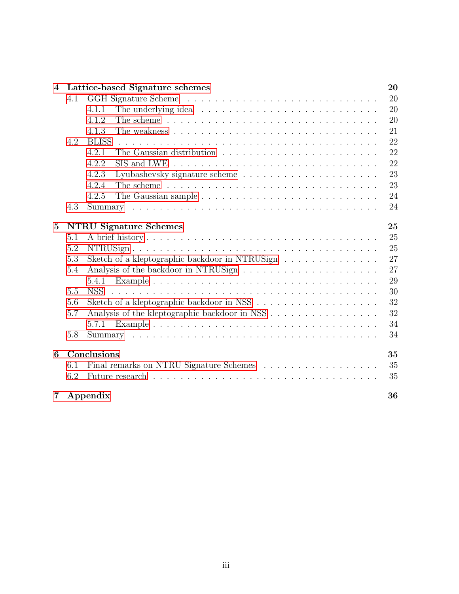| $\overline{4}$                            | Lattice-based Signature schemes |                                                                                       |          |  |  |  |
|-------------------------------------------|---------------------------------|---------------------------------------------------------------------------------------|----------|--|--|--|
|                                           | 4.1                             |                                                                                       | 20       |  |  |  |
|                                           |                                 | 4.1.1                                                                                 | 20       |  |  |  |
|                                           |                                 | 4.1.2                                                                                 | 20       |  |  |  |
|                                           |                                 | 4.1.3                                                                                 | 21       |  |  |  |
|                                           | 4.2                             | <b>BLISS</b>                                                                          | 22       |  |  |  |
|                                           |                                 | 4.2.1                                                                                 | 22       |  |  |  |
|                                           |                                 | 4.2.2<br>SIS and LWE                                                                  | 22       |  |  |  |
|                                           |                                 | 4.2.3                                                                                 | 23       |  |  |  |
|                                           |                                 | 4.2.4                                                                                 | 23       |  |  |  |
|                                           |                                 | 4.2.5                                                                                 | 24       |  |  |  |
|                                           | 4.3                             |                                                                                       | 24       |  |  |  |
| <b>NTRU Signature Schemes</b><br>$\bf{5}$ |                                 |                                                                                       |          |  |  |  |
|                                           | 5.1                             |                                                                                       | 25<br>25 |  |  |  |
|                                           | 5.2                             |                                                                                       | 25       |  |  |  |
|                                           | 5.3                             | Sketch of a kleptographic backdoor in NTRUSign                                        | 27       |  |  |  |
|                                           | 5.4                             |                                                                                       | 27       |  |  |  |
|                                           |                                 | 5.4.1                                                                                 | 29       |  |  |  |
|                                           | 5.5                             | <b>NSS</b>                                                                            | 30       |  |  |  |
|                                           | 5.6                             | Sketch of a kleptographic backdoor in NSS $\ldots \ldots \ldots \ldots \ldots \ldots$ | 32       |  |  |  |
|                                           | 5.7                             |                                                                                       | 32       |  |  |  |
|                                           |                                 | 5.7.1                                                                                 | 34       |  |  |  |
|                                           | 5.8                             |                                                                                       | 34       |  |  |  |
| 6                                         | Conclusions<br>35               |                                                                                       |          |  |  |  |
|                                           | 6.1                             |                                                                                       | 35       |  |  |  |
|                                           | 6.2                             |                                                                                       | 35       |  |  |  |
| 7                                         |                                 | Appendix                                                                              | 36       |  |  |  |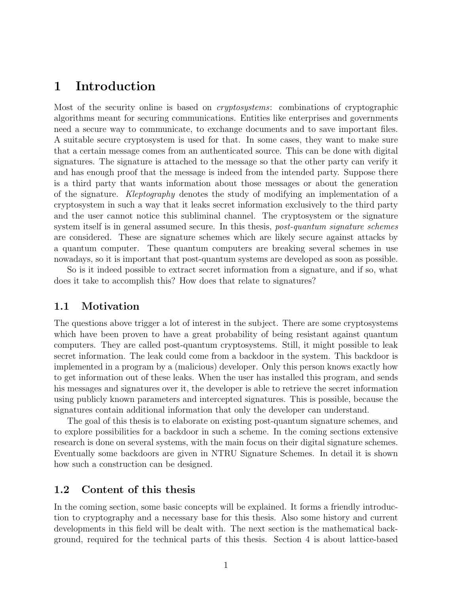### <span id="page-5-0"></span>1 Introduction

Most of the security online is based on cryptosystems: combinations of cryptographic algorithms meant for securing communications. Entities like enterprises and governments need a secure way to communicate, to exchange documents and to save important files. A suitable secure cryptosystem is used for that. In some cases, they want to make sure that a certain message comes from an authenticated source. This can be done with digital signatures. The signature is attached to the message so that the other party can verify it and has enough proof that the message is indeed from the intended party. Suppose there is a third party that wants information about those messages or about the generation of the signature. Kleptography denotes the study of modifying an implementation of a cryptosystem in such a way that it leaks secret information exclusively to the third party and the user cannot notice this subliminal channel. The cryptosystem or the signature system itself is in general assumed secure. In this thesis, *post-quantum signature schemes* are considered. These are signature schemes which are likely secure against attacks by a quantum computer. These quantum computers are breaking several schemes in use nowadays, so it is important that post-quantum systems are developed as soon as possible.

So is it indeed possible to extract secret information from a signature, and if so, what does it take to accomplish this? How does that relate to signatures?

### <span id="page-5-1"></span>1.1 Motivation

The questions above trigger a lot of interest in the subject. There are some cryptosystems which have been proven to have a great probability of being resistant against quantum computers. They are called post-quantum cryptosystems. Still, it might possible to leak secret information. The leak could come from a backdoor in the system. This backdoor is implemented in a program by a (malicious) developer. Only this person knows exactly how to get information out of these leaks. When the user has installed this program, and sends his messages and signatures over it, the developer is able to retrieve the secret information using publicly known parameters and intercepted signatures. This is possible, because the signatures contain additional information that only the developer can understand.

The goal of this thesis is to elaborate on existing post-quantum signature schemes, and to explore possibilities for a backdoor in such a scheme. In the coming sections extensive research is done on several systems, with the main focus on their digital signature schemes. Eventually some backdoors are given in NTRU Signature Schemes. In detail it is shown how such a construction can be designed.

### <span id="page-5-2"></span>1.2 Content of this thesis

In the coming section, some basic concepts will be explained. It forms a friendly introduction to cryptography and a necessary base for this thesis. Also some history and current developments in this field will be dealt with. The next section is the mathematical background, required for the technical parts of this thesis. Section 4 is about lattice-based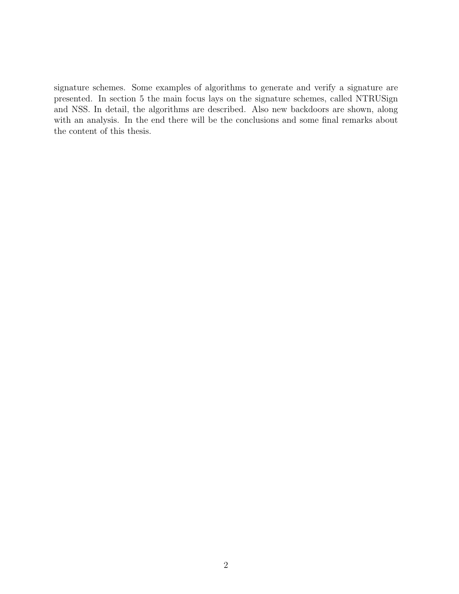signature schemes. Some examples of algorithms to generate and verify a signature are presented. In section 5 the main focus lays on the signature schemes, called NTRUSign and NSS. In detail, the algorithms are described. Also new backdoors are shown, along with an analysis. In the end there will be the conclusions and some final remarks about the content of this thesis.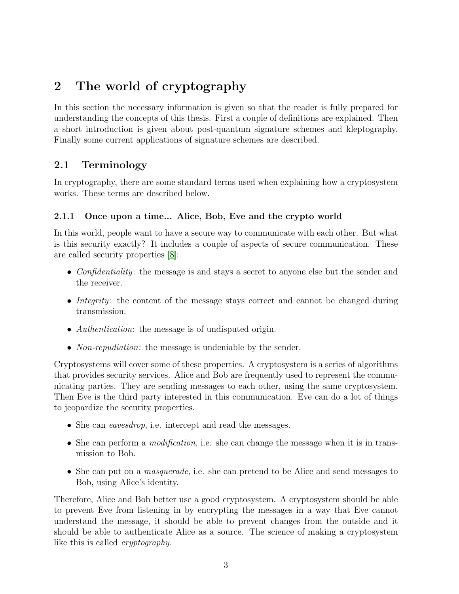## <span id="page-7-0"></span>2 The world of cryptography

In this section the necessary information is given so that the reader is fully prepared for understanding the concepts of this thesis. First a couple of definitions are explained. Then a short introduction is given about post-quantum signature schemes and kleptography. Finally some current applications of signature schemes are described.

### <span id="page-7-1"></span>2.1 Terminology

In cryptography, there are some standard terms used when explaining how a cryptosystem works. These terms are described below.

### <span id="page-7-2"></span>2.1.1 Once upon a time... Alice, Bob, Eve and the crypto world

In this world, people want to have a secure way to communicate with each other. But what is this security exactly? It includes a couple of aspects of secure communication. These are called security properties [\[8\]](#page-41-0):

- Confidentiality: the message is and stays a secret to anyone else but the sender and the receiver.
- Integrity: the content of the message stays correct and cannot be changed during transmission.
- *Authentication*: the message is of undisputed origin.
- *Non-repudiation*: the message is undeniable by the sender.

Cryptosystems will cover some of these properties. A cryptosystem is a series of algorithms that provides security services. Alice and Bob are frequently used to represent the communicating parties. They are sending messages to each other, using the same cryptosystem. Then Eve is the third party interested in this communication. Eve can do a lot of things to jeopardize the security properties.

- She can *eavesdrop*, i.e. intercept and read the messages.
- She can perform a *modification*, i.e. she can change the message when it is in transmission to Bob.
- She can put on a *masquerade*, i.e. she can pretend to be Alice and send messages to Bob, using Alice's identity.

Therefore, Alice and Bob better use a good cryptosystem. A cryptosystem should be able to prevent Eve from listening in by encrypting the messages in a way that Eve cannot understand the message, it should be able to prevent changes from the outside and it should be able to authenticate Alice as a source. The science of making a cryptosystem like this is called cryptography.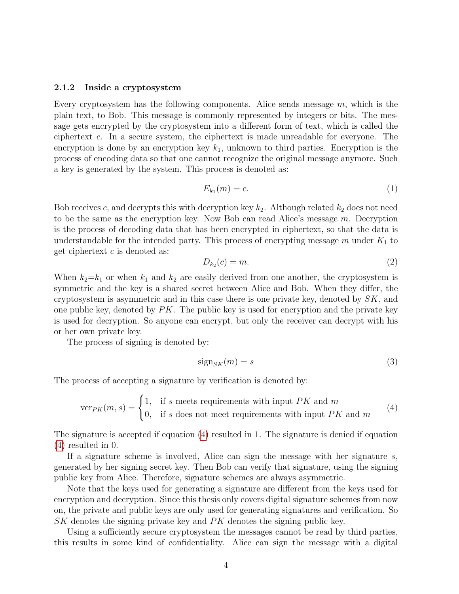#### <span id="page-8-0"></span>2.1.2 Inside a cryptosystem

Every cryptosystem has the following components. Alice sends message  $m$ , which is the plain text, to Bob. This message is commonly represented by integers or bits. The message gets encrypted by the cryptosystem into a different form of text, which is called the ciphertext c. In a secure system, the ciphertext is made unreadable for everyone. The encryption is done by an encryption key  $k_1$ , unknown to third parties. Encryption is the process of encoding data so that one cannot recognize the original message anymore. Such a key is generated by the system. This process is denoted as:

$$
E_{k_1}(m) = c.\t\t(1)
$$

Bob receives c, and decrypts this with decryption key  $k_2$ . Although related  $k_2$  does not need to be the same as the encryption key. Now Bob can read Alice's message  $m$ . Decryption is the process of decoding data that has been encrypted in ciphertext, so that the data is understandable for the intended party. This process of encrypting message  $m$  under  $K_1$  to get ciphertext  $c$  is denoted as:

$$
D_{k_2}(c) = m. \tag{2}
$$

When  $k_2=k_1$  or when  $k_1$  and  $k_2$  are easily derived from one another, the cryptosystem is symmetric and the key is a shared secret between Alice and Bob. When they differ, the cryptosystem is asymmetric and in this case there is one private key, denoted by  $SK$ , and one public key, denoted by  $PK$ . The public key is used for encryption and the private key is used for decryption. So anyone can encrypt, but only the receiver can decrypt with his or her own private key.

The process of signing is denoted by:

$$
sign_{SK}(m) = s \tag{3}
$$

The process of accepting a signature by verification is denoted by:

<span id="page-8-1"></span>
$$
\text{ver}_{PK}(m, s) = \begin{cases} 1, & \text{if } s \text{ meets requirements with input } PK \text{ and } m \\ 0, & \text{if } s \text{ does not meet requirements with input } PK \text{ and } m \end{cases} \tag{4}
$$

The signature is accepted if equation [\(4\)](#page-8-1) resulted in 1. The signature is denied if equation [\(4\)](#page-8-1) resulted in 0.

If a signature scheme is involved, Alice can sign the message with her signature s, generated by her signing secret key. Then Bob can verify that signature, using the signing public key from Alice. Therefore, signature schemes are always asymmetric.

Note that the keys used for generating a signature are different from the keys used for encryption and decryption. Since this thesis only covers digital signature schemes from now on, the private and public keys are only used for generating signatures and verification. So SK denotes the signing private key and PK denotes the signing public key.

Using a sufficiently secure cryptosystem the messages cannot be read by third parties, this results in some kind of confidentiality. Alice can sign the message with a digital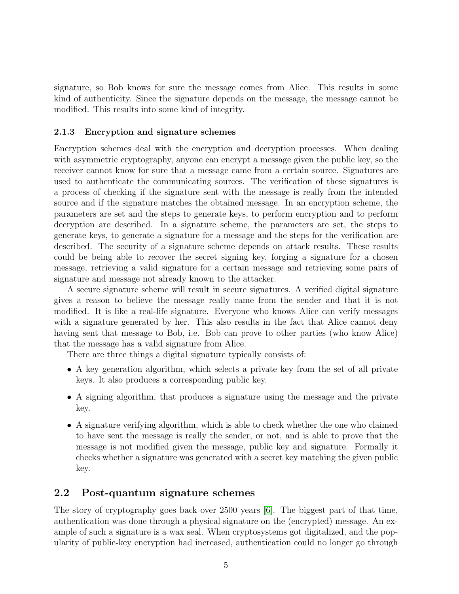signature, so Bob knows for sure the message comes from Alice. This results in some kind of authenticity. Since the signature depends on the message, the message cannot be modified. This results into some kind of integrity.

#### <span id="page-9-0"></span>2.1.3 Encryption and signature schemes

Encryption schemes deal with the encryption and decryption processes. When dealing with asymmetric cryptography, anyone can encrypt a message given the public key, so the receiver cannot know for sure that a message came from a certain source. Signatures are used to authenticate the communicating sources. The verification of these signatures is a process of checking if the signature sent with the message is really from the intended source and if the signature matches the obtained message. In an encryption scheme, the parameters are set and the steps to generate keys, to perform encryption and to perform decryption are described. In a signature scheme, the parameters are set, the steps to generate keys, to generate a signature for a message and the steps for the verification are described. The security of a signature scheme depends on attack results. These results could be being able to recover the secret signing key, forging a signature for a chosen message, retrieving a valid signature for a certain message and retrieving some pairs of signature and message not already known to the attacker.

A secure signature scheme will result in secure signatures. A verified digital signature gives a reason to believe the message really came from the sender and that it is not modified. It is like a real-life signature. Everyone who knows Alice can verify messages with a signature generated by her. This also results in the fact that Alice cannot deny having sent that message to Bob, i.e. Bob can prove to other parties (who know Alice) that the message has a valid signature from Alice.

There are three things a digital signature typically consists of:

- A key generation algorithm, which selects a private key from the set of all private keys. It also produces a corresponding public key.
- A signing algorithm, that produces a signature using the message and the private key.
- A signature verifying algorithm, which is able to check whether the one who claimed to have sent the message is really the sender, or not, and is able to prove that the message is not modified given the message, public key and signature. Formally it checks whether a signature was generated with a secret key matching the given public key.

### <span id="page-9-1"></span>2.2 Post-quantum signature schemes

The story of cryptography goes back over 2500 years [\[6\]](#page-41-1). The biggest part of that time, authentication was done through a physical signature on the (encrypted) message. An example of such a signature is a wax seal. When cryptosystems got digitalized, and the popularity of public-key encryption had increased, authentication could no longer go through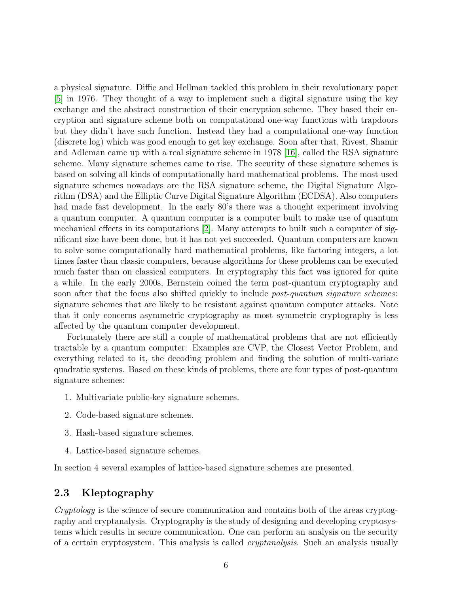a physical signature. Diffie and Hellman tackled this problem in their revolutionary paper [\[5\]](#page-41-2) in 1976. They thought of a way to implement such a digital signature using the key exchange and the abstract construction of their encryption scheme. They based their encryption and signature scheme both on computational one-way functions with trapdoors but they didn't have such function. Instead they had a computational one-way function (discrete log) which was good enough to get key exchange. Soon after that, Rivest, Shamir and Adleman came up with a real signature scheme in 1978 [\[16\]](#page-42-0), called the RSA signature scheme. Many signature schemes came to rise. The security of these signature schemes is based on solving all kinds of computationally hard mathematical problems. The most used signature schemes nowadays are the RSA signature scheme, the Digital Signature Algorithm (DSA) and the Elliptic Curve Digital Signature Algorithm (ECDSA). Also computers had made fast development. In the early 80's there was a thought experiment involving a quantum computer. A quantum computer is a computer built to make use of quantum mechanical effects in its computations [\[2\]](#page-41-3). Many attempts to built such a computer of significant size have been done, but it has not yet succeeded. Quantum computers are known to solve some computationally hard mathematical problems, like factoring integers, a lot times faster than classic computers, because algorithms for these problems can be executed much faster than on classical computers. In cryptography this fact was ignored for quite a while. In the early 2000s, Bernstein coined the term post-quantum cryptography and soon after that the focus also shifted quickly to include *post-quantum signature schemes*: signature schemes that are likely to be resistant against quantum computer attacks. Note that it only concerns asymmetric cryptography as most symmetric cryptography is less affected by the quantum computer development.

Fortunately there are still a couple of mathematical problems that are not efficiently tractable by a quantum computer. Examples are CVP, the Closest Vector Problem, and everything related to it, the decoding problem and finding the solution of multi-variate quadratic systems. Based on these kinds of problems, there are four types of post-quantum signature schemes:

- 1. Multivariate public-key signature schemes.
- 2. Code-based signature schemes.
- 3. Hash-based signature schemes.
- 4. Lattice-based signature schemes.

In section 4 several examples of lattice-based signature schemes are presented.

### <span id="page-10-0"></span>2.3 Kleptography

Cryptology is the science of secure communication and contains both of the areas cryptography and cryptanalysis. Cryptography is the study of designing and developing cryptosystems which results in secure communication. One can perform an analysis on the security of a certain cryptosystem. This analysis is called cryptanalysis. Such an analysis usually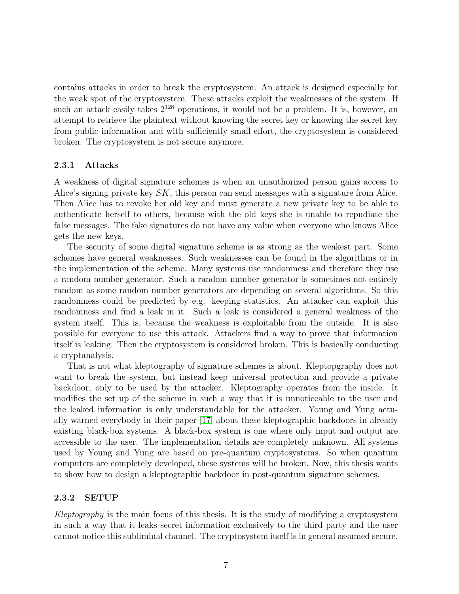contains attacks in order to break the cryptosystem. An attack is designed especially for the weak spot of the cryptosystem. These attacks exploit the weaknesses of the system. If such an attack easily takes  $2^{128}$  operations, it would not be a problem. It is, however, an attempt to retrieve the plaintext without knowing the secret key or knowing the secret key from public information and with sufficiently small effort, the cryptosystem is considered broken. The cryptosystem is not secure anymore.

#### <span id="page-11-0"></span>2.3.1 Attacks

A weakness of digital signature schemes is when an unauthorized person gains access to Alice's signing private key SK, this person can send messages with a signature from Alice. Then Alice has to revoke her old key and must generate a new private key to be able to authenticate herself to others, because with the old keys she is unable to repudiate the false messages. The fake signatures do not have any value when everyone who knows Alice gets the new keys.

The security of some digital signature scheme is as strong as the weakest part. Some schemes have general weaknesses. Such weaknesses can be found in the algorithms or in the implementation of the scheme. Many systems use randomness and therefore they use a random number generator. Such a random number generator is sometimes not entirely random as some random number generators are depending on several algorithms. So this randomness could be predicted by e.g. keeping statistics. An attacker can exploit this randomness and find a leak in it. Such a leak is considered a general weakness of the system itself. This is, because the weakness is exploitable from the outside. It is also possible for everyone to use this attack. Attackers find a way to prove that information itself is leaking. Then the cryptosystem is considered broken. This is basically conducting a cryptanalysis.

That is not what kleptography of signature schemes is about. Kleptopgraphy does not want to break the system, but instead keep universal protection and provide a private backdoor, only to be used by the attacker. Kleptography operates from the inside. It modifies the set up of the scheme in such a way that it is unnoticeable to the user and the leaked information is only understandable for the attacker. Young and Yung actually warned everybody in their paper [\[17\]](#page-42-1) about these kleptographic backdoors in already existing black-box systems. A black-box system is one where only input and output are accessible to the user. The implementation details are completely unknown. All systems used by Young and Yung are based on pre-quantum cryptosystems. So when quantum computers are completely developed, these systems will be broken. Now, this thesis wants to show how to design a kleptographic backdoor in post-quantum signature schemes.

#### <span id="page-11-1"></span>2.3.2 SETUP

Kleptography is the main focus of this thesis. It is the study of modifying a cryptosystem in such a way that it leaks secret information exclusively to the third party and the user cannot notice this subliminal channel. The cryptosystem itself is in general assumed secure.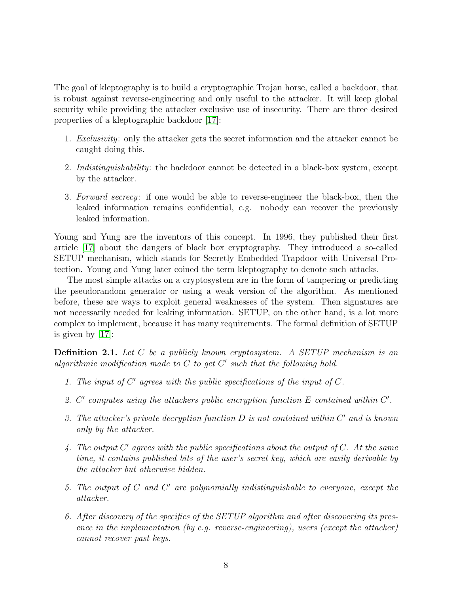The goal of kleptography is to build a cryptographic Trojan horse, called a backdoor, that is robust against reverse-engineering and only useful to the attacker. It will keep global security while providing the attacker exclusive use of insecurity. There are three desired properties of a kleptographic backdoor [\[17\]](#page-42-1):

- 1. Exclusivity: only the attacker gets the secret information and the attacker cannot be caught doing this.
- 2. Indistinguishability: the backdoor cannot be detected in a black-box system, except by the attacker.
- 3. Forward secrecy: if one would be able to reverse-engineer the black-box, then the leaked information remains confidential, e.g. nobody can recover the previously leaked information.

Young and Yung are the inventors of this concept. In 1996, they published their first article [\[17\]](#page-42-1) about the dangers of black box cryptography. They introduced a so-called SETUP mechanism, which stands for Secretly Embedded Trapdoor with Universal Protection. Young and Yung later coined the term kleptography to denote such attacks.

The most simple attacks on a cryptosystem are in the form of tampering or predicting the pseudorandom generator or using a weak version of the algorithm. As mentioned before, these are ways to exploit general weaknesses of the system. Then signatures are not necessarily needed for leaking information. SETUP, on the other hand, is a lot more complex to implement, because it has many requirements. The formal definition of SETUP is given by [\[17\]](#page-42-1):

<span id="page-12-0"></span>**Definition 2.1.** Let  $C$  be a publicly known cryptosystem. A SETUP mechanism is an algorithmic modification made to  $C$  to get  $C'$  such that the following hold.

- 1. The input of  $C'$  agrees with the public specifications of the input of  $C$ .
- 2.  $C'$  computes using the attackers public encryption function  $E$  contained within  $C'$ .
- 3. The attacker's private decryption function  $D$  is not contained within  $C'$  and is known only by the attacker.
- 4. The output  $C'$  agrees with the public specifications about the output of  $C$ . At the same time, it contains published bits of the user's secret key, which are easily derivable by the attacker but otherwise hidden.
- 5. The output of  $C$  and  $C'$  are polynomially indistinguishable to everyone, except the attacker.
- 6. After discovery of the specifics of the SETUP algorithm and after discovering its presence in the implementation (by e.g. reverse-engineering), users (except the attacker) cannot recover past keys.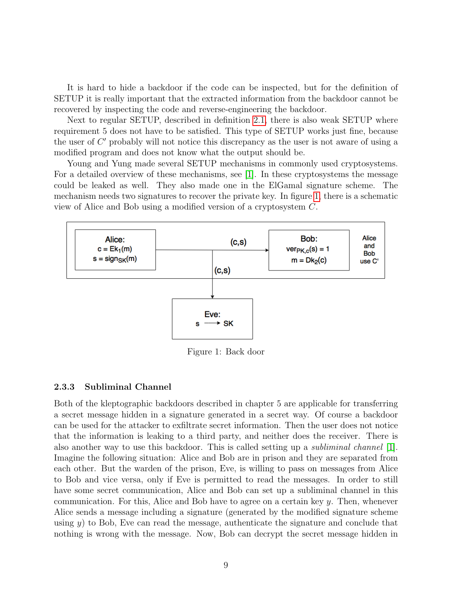It is hard to hide a backdoor if the code can be inspected, but for the definition of SETUP it is really important that the extracted information from the backdoor cannot be recovered by inspecting the code and reverse-engineering the backdoor.

Next to regular SETUP, described in definition [2.1,](#page-12-0) there is also weak SETUP where requirement 5 does not have to be satisfied. This type of SETUP works just fine, because the user of  $C'$  probably will not notice this discrepancy as the user is not aware of using a modified program and does not know what the output should be.

Young and Yung made several SETUP mechanisms in commonly used cryptosystems. For a detailed overview of these mechanisms, see  $|1|$ . In these cryptosystems the message could be leaked as well. They also made one in the ElGamal signature scheme. The mechanism needs two signatures to recover the private key. In figure [1,](#page-13-1) there is a schematic view of Alice and Bob using a modified version of a cryptosystem C.

<span id="page-13-1"></span>

Figure 1: Back door

#### <span id="page-13-0"></span>2.3.3 Subliminal Channel

Both of the kleptographic backdoors described in chapter 5 are applicable for transferring a secret message hidden in a signature generated in a secret way. Of course a backdoor can be used for the attacker to exfiltrate secret information. Then the user does not notice that the information is leaking to a third party, and neither does the receiver. There is also another way to use this backdoor. This is called setting up a subliminal channel [\[1\]](#page-41-4). Imagine the following situation: Alice and Bob are in prison and they are separated from each other. But the warden of the prison, Eve, is willing to pass on messages from Alice to Bob and vice versa, only if Eve is permitted to read the messages. In order to still have some secret communication, Alice and Bob can set up a subliminal channel in this communication. For this, Alice and Bob have to agree on a certain key  $y$ . Then, whenever Alice sends a message including a signature (generated by the modified signature scheme using  $y$ ) to Bob, Eve can read the message, authenticate the signature and conclude that nothing is wrong with the message. Now, Bob can decrypt the secret message hidden in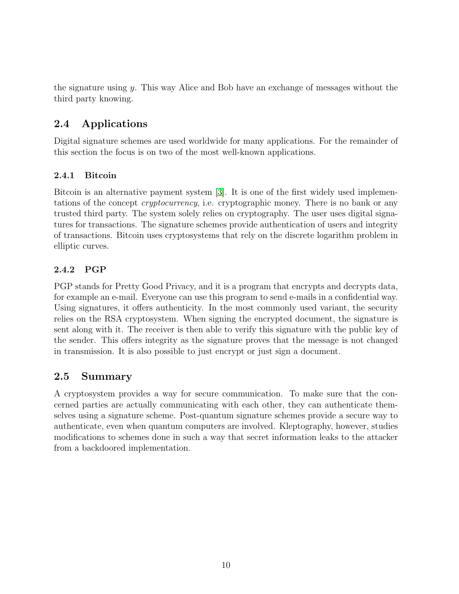the signature using y. This way Alice and Bob have an exchange of messages without the third party knowing.

### <span id="page-14-0"></span>2.4 Applications

Digital signature schemes are used worldwide for many applications. For the remainder of this section the focus is on two of the most well-known applications.

### <span id="page-14-1"></span>2.4.1 Bitcoin

Bitcoin is an alternative payment system [\[3\]](#page-41-5). It is one of the first widely used implementations of the concept *cryptocurrency*, i.e. cryptographic money. There is no bank or any trusted third party. The system solely relies on cryptography. The user uses digital signatures for transactions. The signature schemes provide authentication of users and integrity of transactions. Bitcoin uses cryptosystems that rely on the discrete logarithm problem in elliptic curves.

### <span id="page-14-2"></span>2.4.2 PGP

PGP stands for Pretty Good Privacy, and it is a program that encrypts and decrypts data, for example an e-mail. Everyone can use this program to send e-mails in a confidential way. Using signatures, it offers authenticity. In the most commonly used variant, the security relies on the RSA cryptosystem. When signing the encrypted document, the signature is sent along with it. The receiver is then able to verify this signature with the public key of the sender. This offers integrity as the signature proves that the message is not changed in transmission. It is also possible to just encrypt or just sign a document.

### <span id="page-14-3"></span>2.5 Summary

A cryptosystem provides a way for secure communication. To make sure that the concerned parties are actually communicating with each other, they can authenticate themselves using a signature scheme. Post-quantum signature schemes provide a secure way to authenticate, even when quantum computers are involved. Kleptography, however, studies modifications to schemes done in such a way that secret information leaks to the attacker from a backdoored implementation.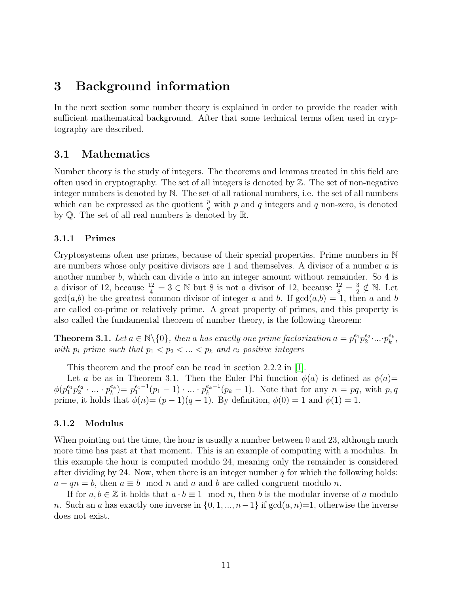### <span id="page-15-0"></span>3 Background information

In the next section some number theory is explained in order to provide the reader with sufficient mathematical background. After that some technical terms often used in cryptography are described.

### <span id="page-15-1"></span>3.1 Mathematics

Number theory is the study of integers. The theorems and lemmas treated in this field are often used in cryptography. The set of all integers is denoted by  $\mathbb{Z}$ . The set of non-negative integer numbers is denoted by N. The set of all rational numbers, i.e. the set of all numbers which can be expressed as the quotient  $\frac{p}{q}$  with p and q integers and q non-zero, is denoted by Q. The set of all real numbers is denoted by R.

#### <span id="page-15-2"></span>3.1.1 Primes

Cryptosystems often use primes, because of their special properties. Prime numbers in N are numbers whose only positive divisors are 1 and themselves. A divisor of a number  $a$  is another number  $b$ , which can divide  $a$  into an integer amount without remainder. So  $4$  is a divisor of 12, because  $\frac{12}{4} = 3 \in \mathbb{N}$  but 8 is not a divisor of 12, because  $\frac{12}{8} = \frac{3}{2}$  $\frac{3}{2} \notin \mathbb{N}$ . Let  $gcd(a,b)$  be the greatest common divisor of integer a and b. If  $gcd(a,b) = 1$ , then a and b are called co-prime or relatively prime. A great property of primes, and this property is also called the fundamental theorem of number theory, is the following theorem:

**Theorem 3.1.** Let  $a \in \mathbb{N} \setminus \{0\}$ , then a has exactly one prime factorization  $a = p_1^{e_1} p_2^{e_2} \dots p_k^{e_k}$ , with  $p_i$  prime such that  $p_1 < p_2 < ... < p_k$  and  $e_i$  positive integers

This theorem and the proof can be read in section 2.2.2 in [\[1\]](#page-41-4).

Let a be as in Theorem 3.1. Then the Euler Phi function  $\phi(a)$  is defined as  $\phi(a)$ =  $\phi(p_1^{e_1}p_2^{e_2}\cdot...\cdot p_k^{e_k})=p_1^{e_1-1}(p_1-1)\cdot...\cdot p_k^{e_k-1}(p_k-1).$  Note that for any  $n=pq$ , with  $p,q$ prime, it holds that  $\phi(n)=(p-1)(q-1)$ . By definition,  $\phi(0)=1$  and  $\phi(1)=1$ .

#### <span id="page-15-3"></span>3.1.2 Modulus

When pointing out the time, the hour is usually a number between 0 and 23, although much more time has past at that moment. This is an example of computing with a modulus. In this example the hour is computed modulo 24, meaning only the remainder is considered after dividing by 24. Now, when there is an integer number  $q$  for which the following holds:  $a - qn = b$ , then  $a \equiv b \mod n$  and a and b are called congruent modulo n.

If for  $a, b \in \mathbb{Z}$  it holds that  $a \cdot b \equiv 1 \mod n$ , then b is the modular inverse of a modulo n. Such an a has exactly one inverse in  $\{0, 1, ..., n-1\}$  if  $gcd(a, n)=1$ , otherwise the inverse does not exist.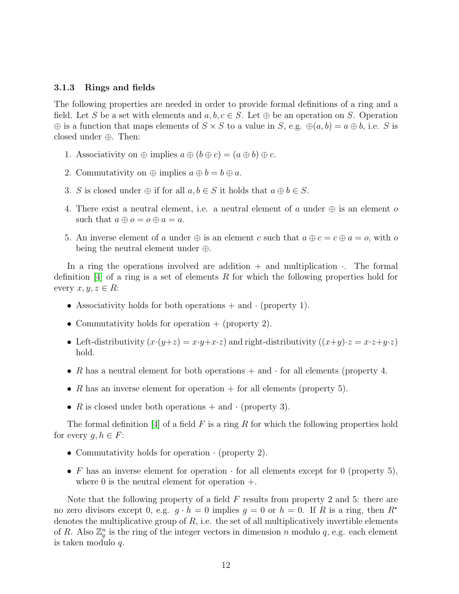#### <span id="page-16-0"></span>3.1.3 Rings and fields

The following properties are needed in order to provide formal definitions of a ring and a field. Let S be a set with elements and  $a, b, c \in S$ . Let  $\oplus$  be an operation on S. Operation  $\oplus$  is a function that maps elements of  $S \times S$  to a value in S, e.g.  $\oplus(a, b) = a \oplus b$ , i.e. S is closed under ⊕. Then:

- 1. Associativity on  $\oplus$  implies  $a \oplus (b \oplus c) = (a \oplus b) \oplus c$ .
- 2. Commutativity on  $\oplus$  implies  $a \oplus b = b \oplus a$ .
- 3. S is closed under  $\oplus$  if for all  $a, b \in S$  it holds that  $a \oplus b \in S$ .
- 4. There exist a neutral element, i.e. a neutral element of a under  $\oplus$  is an element o such that  $a \oplus o = o \oplus a = a$ .
- 5. An inverse element of a under  $\oplus$  is an element c such that  $a \oplus c = c \oplus a = o$ , with o being the neutral element under ⊕.

In a ring the operations involved are addition  $+$  and multiplication  $\cdot$ . The formal definition  $[4]$  of a ring is a set of elements R for which the following properties hold for every  $x, y, z \in R$ :

- Associativity holds for both operations  $+$  and  $\cdot$  (property 1).
- Commutativity holds for operation  $+$  (property 2).
- Left-distributivity  $(x \cdot (y+z) = x \cdot y + x \cdot z)$  and right-distributivity  $((x+y) \cdot z = x \cdot z + y \cdot z)$ hold.
- R has a neutral element for both operations  $+$  and  $\cdot$  for all elements (property 4.
- R has an inverse element for operation  $+$  for all elements (property 5).
- R is closed under both operations  $+$  and  $\cdot$  (property 3).

The formal definition [\[4\]](#page-41-6) of a field F is a ring R for which the following properties hold for every  $g, h \in F$ :

- Commutativity holds for operation · (property 2).
- F has an inverse element for operation  $\cdot$  for all elements except for 0 (property 5), where 0 is the neutral element for operation  $+$ .

Note that the following property of a field F results from property 2 and 5: there are no zero divisors except 0, e.g.  $g \cdot h = 0$  implies  $g = 0$  or  $h = 0$ . If R is a ring, then  $R^*$ denotes the multiplicative group of  $R$ , i.e. the set of all multiplicatively invertible elements of R. Also  $\mathbb{Z}_q^n$  is the ring of the integer vectors in dimension n modulo q, e.g. each element is taken modulo q.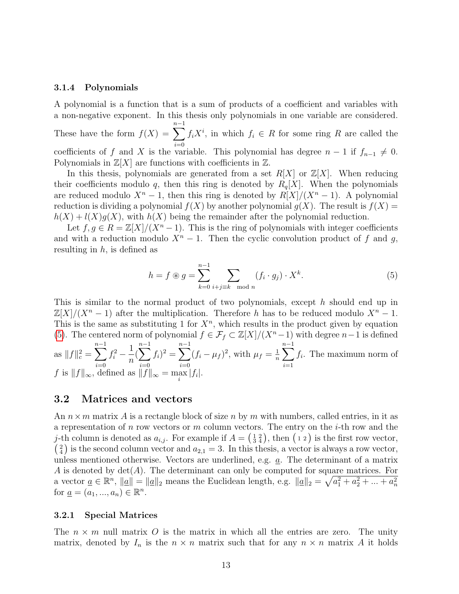#### <span id="page-17-0"></span>3.1.4 Polynomials

A polynomial is a function that is a sum of products of a coefficient and variables with a non-negative exponent. In this thesis only polynomials in one variable are considered.

These have the form  $f(X) = \sum_{n=1}^{n-1}$  $i=0$  $f_i X^i$ , in which  $f_i \in R$  for some ring R are called the coefficients of f and X is the variable. This polynomial has degree  $n-1$  if  $f_{n-1} \neq 0$ . Polynomials in  $\mathbb{Z}[X]$  are functions with coefficients in  $\mathbb{Z}$ .

In this thesis, polynomials are generated from a set  $R[X]$  or  $\mathbb{Z}[X]$ . When reducing their coefficients modulo q, then this ring is denoted by  $R_q[X]$ . When the polynomials are reduced modulo  $X^n - 1$ , then this ring is denoted by  $R[X]/(X^n - 1)$ . A polynomial reduction is dividing a polynomial  $f(X)$  by another polynomial  $g(X)$ . The result is  $f(X)$  =  $h(X) + l(X)g(X)$ , with  $h(X)$  being the remainder after the polynomial reduction.

Let  $f, g \in R = \mathbb{Z}[X]/(X^n - 1)$ . This is the ring of polynomials with integer coefficients and with a reduction modulo  $X<sup>n</sup> - 1$ . Then the cyclic convolution product of f and g, resulting in  $h$ , is defined as

<span id="page-17-3"></span>
$$
h = f \circledast g = \sum_{k=0}^{n-1} \sum_{i+j \equiv k \mod n} (f_i \cdot g_j) \cdot X^k.
$$
 (5)

This is similar to the normal product of two polynomials, except h should end up in  $\mathbb{Z}[X]/(X^n-1)$  after the multiplication. Therefore h has to be reduced modulo  $X^n-1$ . This is the same as substituting 1 for  $X<sup>n</sup>$ , which results in the product given by equation [\(5\)](#page-17-3). The centered norm of polynomial  $f \in \mathcal{F}_f \subset \mathbb{Z}[X]/(X^n-1)$  with degree  $n-1$  is defined as  $||f||_c^2 = \sum_{n=1}^{n-1}$  $i=0$  $f_i^2 - \frac{1}{n}$ n  $\sum_{n=1}^{n-1}$  $i=0$  $(f_i)^2 = \sum^{n-1}$  $i=0$  $(f_i - \mu_f)^2$ , with  $\mu_f = \frac{1}{n}$  $\frac{1}{n} \sum_{n=1}^{n-1}$  $i=1$  $f_i$ . The maximum norm of f is  $||f||_{\infty}$ , defined as  $||f||_{\infty} = \max_{i} |f_i|$ .

#### <span id="page-17-1"></span>3.2 Matrices and vectors

An  $n \times m$  matrix A is a rectangle block of size n by m with numbers, called entries, in it as a representation of n row vectors or m column vectors. The entry on the  $i$ -th row and the j-th column is denoted as  $a_{i,j}$ . For example if  $A = \begin{pmatrix} 1 & 2 \\ 3 & 4 \end{pmatrix}$ , then  $(1\ 2)$  is the first row vector,  $\binom{2}{4}$  is the second column vector and  $a_{2,1} = 3$ . In this thesis, a vector is always a row vector, unless mentioned otherwise. Vectors are underlined, e.g. a. The determinant of a matrix A is denoted by  $\det(A)$ . The determinant can only be computed for square matrices. For a vector  $\underline{a} \in \mathbb{R}^n$ ,  $\|\underline{a}\| = \|\underline{a}\|_2$  means the Euclidean length, e.g.  $\|\underline{a}\|_2 = \sqrt{a_1^2 + a_2^2 + \dots + a_n^2}$ for  $\underline{a} = (a_1, ..., a_n) \in \mathbb{R}^n$ .

#### <span id="page-17-2"></span>3.2.1 Special Matrices

The  $n \times m$  null matrix O is the matrix in which all the entries are zero. The unity matrix, denoted by  $I_n$  is the  $n \times n$  matrix such that for any  $n \times n$  matrix A it holds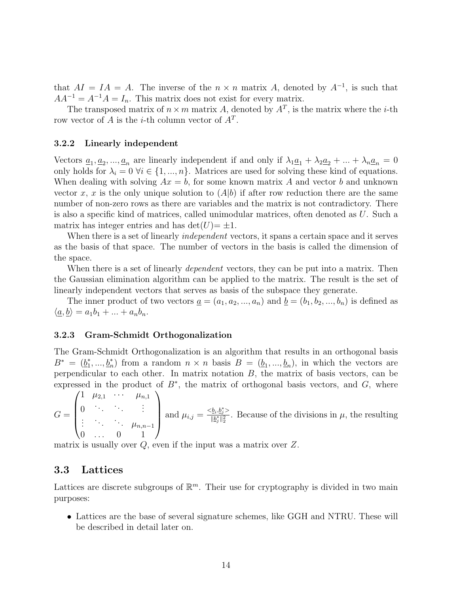that  $AI = IA = A$ . The inverse of the  $n \times n$  matrix A, denoted by  $A^{-1}$ , is such that  $AA^{-1} = A^{-1}A = I_n$ . This matrix does not exist for every matrix.

The transposed matrix of  $n \times m$  matrix A, denoted by  $A<sup>T</sup>$ , is the matrix where the *i*-th row vector of A is the *i*-th column vector of  $A<sup>T</sup>$ .

#### <span id="page-18-0"></span>3.2.2 Linearly independent

Vectors  $\underline{a}_1, \underline{a}_2, ..., \underline{a}_n$  are linearly independent if and only if  $\lambda_1 \underline{a}_1 + \lambda_2 \underline{a}_2 + ... + \lambda_n \underline{a}_n = 0$ only holds for  $\lambda_i = 0$   $\forall i \in \{1, ..., n\}$ . Matrices are used for solving these kind of equations. When dealing with solving  $Ax = b$ , for some known matrix A and vector b and unknown vector x, x is the only unique solution to  $(A|b)$  if after row reduction there are the same number of non-zero rows as there are variables and the matrix is not contradictory. There is also a specific kind of matrices, called unimodular matrices, often denoted as U. Such a matrix has integer entries and has  $\det(U)=\pm 1$ .

When there is a set of linearly *independent* vectors, it spans a certain space and it serves as the basis of that space. The number of vectors in the basis is called the dimension of the space.

When there is a set of linearly *dependent* vectors, they can be put into a matrix. Then the Gaussian elimination algorithm can be applied to the matrix. The result is the set of linearly independent vectors that serves as basis of the subspace they generate.

The inner product of two vectors  $\underline{a} = (a_1, a_2, ..., a_n)$  and  $\underline{b} = (b_1, b_2, ..., b_n)$  is defined as  $\langle \underline{a}, \underline{b} \rangle = a_1b_1 + \ldots + a_nb_n.$ 

#### <span id="page-18-1"></span>3.2.3 Gram-Schmidt Orthogonalization

The Gram-Schmidt Orthogonalization is an algorithm that results in an orthogonal basis  $B^* = (\underline{b}_1^*)$ <sup>\*</sup><sub>1</sub>,...,  $\underline{b}_n^*$  from a random  $n \times n$  basis  $B = (\underline{b}_1, ..., \underline{b}_n)$ , in which the vectors are perpendicular to each other. In matrix notation  $B$ , the matrix of basis vectors, can be expressed in the product of  $B^*$ , the matrix of orthogonal basis vectors, and  $G$ , where

$$
G = \begin{pmatrix} 1 & \mu_{2,1} & \cdots & \mu_{n,1} \\ 0 & \ddots & \ddots & \vdots \\ \vdots & \ddots & \mu_{n,n-1} \\ 0 & \cdots & 0 & 1 \end{pmatrix} \text{ and } \mu_{i,j} = \frac{\langle \underline{b}_i, \underline{b}_j^* \rangle}{\|\underline{b}_j^*\|_2^2}.
$$
 Because of the divisions in  $\mu$ , the resulting

matrix is usually over  $Q$ , even if the input was a matrix over  $Z$ .

#### <span id="page-18-2"></span>3.3 Lattices

Lattices are discrete subgroups of  $\mathbb{R}^m$ . Their use for cryptography is divided in two main purposes:

• Lattices are the base of several signature schemes, like GGH and NTRU. These will be described in detail later on.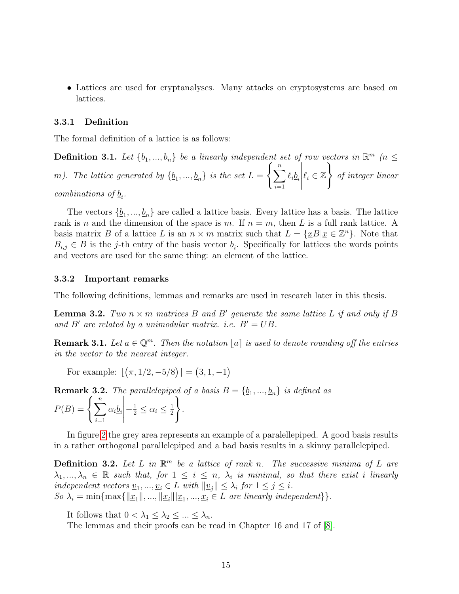• Lattices are used for cryptanalyses. Many attacks on cryptosystems are based on lattices.

#### <span id="page-19-0"></span>3.3.1 Definition

The formal definition of a lattice is as follows:

**Definition 3.1.** Let  $\{\underline{b}_1, ..., \underline{b}_n\}$  be a linearly independent set of row vectors in  $\mathbb{R}^m$  ( $n \leq$ m). The lattice generated by  $\{\underline{b}_1, ..., \underline{b}_n\}$  is the set  $L = \left\{\sum_{i=1}^n a_i, ..., a_n\right\}$  $i=1$  $\ell_i\underline{b}_i$   $\ell_i \in \mathbb{Z}$  $\mathcal{L}$ of integer linear combinations of  $\underline{b}_i$ .

The vectors  $\{\underline{b}_1, ..., \underline{b}_n\}$  are called a lattice basis. Every lattice has a basis. The lattice rank is n and the dimension of the space is m. If  $n = m$ , then L is a full rank lattice. A basis matrix B of a lattice L is an  $n \times m$  matrix such that  $L = \{ \underline{x}B | \underline{x} \in \mathbb{Z}^n \}$ . Note that  $B_{i,j} \in B$  is the j-th entry of the basis vector  $\underline{b}_i$ . Specifically for lattices the words points and vectors are used for the same thing: an element of the lattice.

#### <span id="page-19-1"></span>3.3.2 Important remarks

The following definitions, lemmas and remarks are used in research later in this thesis.

**Lemma 3.2.** Two  $n \times m$  matrices B and B' generate the same lattice L if and only if B and B' are related by a unimodular matrix. i.e.  $B' = UB$ .

**Remark 3.1.** Let  $\underline{a} \in \mathbb{Q}^m$ . Then the notation  $[a]$  is used to denote rounding off the entries in the vector to the nearest integer.

For example:  $[(\pi, 1/2, -5/8)] = (3, 1, -1)$ 

**Remark 3.2.** The parallelepiped of a basis  $B = \{b_1, ..., b_n\}$  is defined as

$$
P(B) = \left\{ \sum_{i=1}^{n} \alpha_i \underline{b}_i \middle| -\frac{1}{2} \leq \alpha_i \leq \frac{1}{2} \right\}.
$$

In figure [2](#page-21-0) the grey area represents an example of a paralellepiped. A good basis results in a rather orthogonal parallelepiped and a bad basis results in a skinny parallelepiped.

**Definition 3.2.** Let L in  $\mathbb{R}^m$  be a lattice of rank n. The successive minima of L are  $\lambda_1, ..., \lambda_n \in \mathbb{R}$  such that, for  $1 \leq i \leq n$ ,  $\lambda_i$  is minimal, so that there exist i linearly independent vectors  $\underline{v}_1, ..., \underline{v}_i \in L$  with  $||\underline{v}_j|| \leq \lambda_i$  for  $1 \leq j \leq i$ . So  $\lambda_i = \min\{\max\{\|\underline{x}_1\|, ..., \|\underline{x}_i\|\|\underline{x}_1, ..., \underline{x}_i\in L\}$  are linearly independent}.

It follows that  $0 < \lambda_1 \leq \lambda_2 \leq ... \leq \lambda_n$ .

The lemmas and their proofs can be read in Chapter 16 and 17 of [\[8\]](#page-41-0).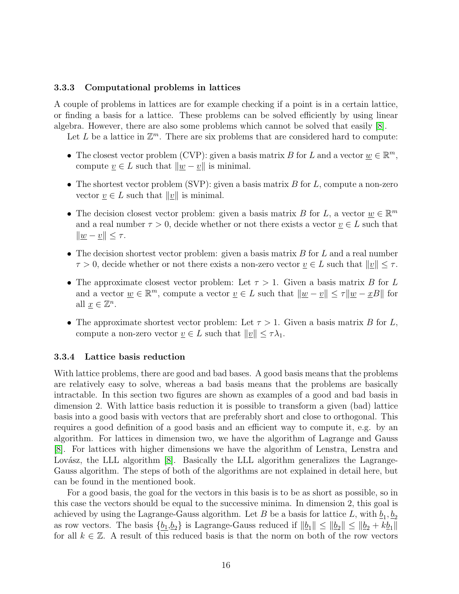#### <span id="page-20-0"></span>3.3.3 Computational problems in lattices

A couple of problems in lattices are for example checking if a point is in a certain lattice, or finding a basis for a lattice. These problems can be solved efficiently by using linear algebra. However, there are also some problems which cannot be solved that easily [\[8\]](#page-41-0).

Let L be a lattice in  $\mathbb{Z}^m$ . There are six problems that are considered hard to compute:

- The closest vector problem (CVP): given a basis matrix B for L and a vector  $\underline{w} \in \mathbb{R}^m$ , compute  $\underline{v} \in L$  such that  $\|\underline{w} - \underline{v}\|$  is minimal.
- The shortest vector problem (SVP): given a basis matrix  $B$  for  $L$ , compute a non-zero vector  $v \in L$  such that  $||v||$  is minimal.
- The decision closest vector problem: given a basis matrix B for L, a vector  $\underline{w} \in \mathbb{R}^m$ and a real number  $\tau > 0$ , decide whether or not there exists a vector  $\underline{v} \in L$  such that  $\|\underline{w} - \underline{v}\| \leq \tau.$
- The decision shortest vector problem: given a basis matrix  $B$  for  $L$  and a real number  $\tau > 0$ , decide whether or not there exists a non-zero vector  $\underline{v} \in L$  such that  $||\underline{v}|| \leq \tau$ .
- The approximate closest vector problem: Let  $\tau > 1$ . Given a basis matrix B for L and a vector  $\underline{w} \in \mathbb{R}^m$ , compute a vector  $\underline{v} \in L$  such that  $\|\underline{w} - \underline{v}\| \leq \tau \|\underline{w} - \underline{x}B\|$  for all  $\underline{x} \in \mathbb{Z}^n$ .
- The approximate shortest vector problem: Let  $\tau > 1$ . Given a basis matrix B for L, compute a non-zero vector  $\underline{v} \in L$  such that  $||\underline{v}|| \leq \tau \lambda_1$ .

#### <span id="page-20-1"></span>3.3.4 Lattice basis reduction

With lattice problems, there are good and bad bases. A good basis means that the problems are relatively easy to solve, whereas a bad basis means that the problems are basically intractable. In this section two figures are shown as examples of a good and bad basis in dimension 2. With lattice basis reduction it is possible to transform a given (bad) lattice basis into a good basis with vectors that are preferably short and close to orthogonal. This requires a good definition of a good basis and an efficient way to compute it, e.g. by an algorithm. For lattices in dimension two, we have the algorithm of Lagrange and Gauss [\[8\]](#page-41-0). For lattices with higher dimensions we have the algorithm of Lenstra, Lenstra and Lovász, the LLL algorithm  $[8]$ . Basically the LLL algorithm generalizes the Lagrange-Gauss algorithm. The steps of both of the algorithms are not explained in detail here, but can be found in the mentioned book.

For a good basis, the goal for the vectors in this basis is to be as short as possible, so in this case the vectors should be equal to the successive minima. In dimension 2, this goal is achieved by using the Lagrange-Gauss algorithm. Let B be a basis for lattice L, with  $\underline{b}_1, \underline{b}_2$ as row vectors. The basis  $\{b_1,b_2\}$  is Lagrange-Gauss reduced if  $||b_1|| \le ||b_2|| \le ||b_2 + k b_1||$ for all  $k \in \mathbb{Z}$ . A result of this reduced basis is that the norm on both of the row vectors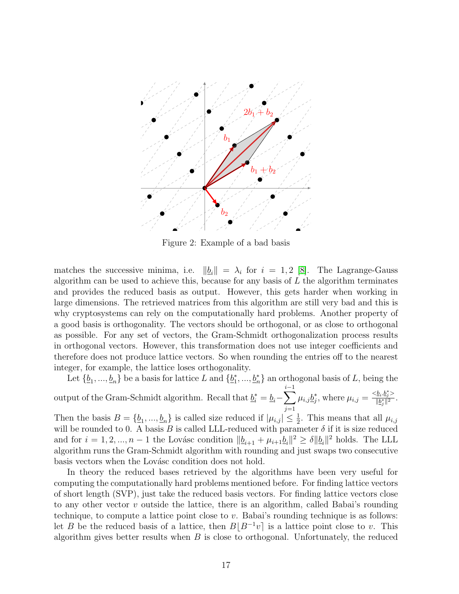<span id="page-21-0"></span>

Figure 2: Example of a bad basis

matches the successive minima, i.e.  $\|\underline{b}_i\| = \lambda_i$  for  $i = 1, 2$  [\[8\]](#page-41-0). The Lagrange-Gauss algorithm can be used to achieve this, because for any basis of  $L$  the algorithm terminates and provides the reduced basis as output. However, this gets harder when working in large dimensions. The retrieved matrices from this algorithm are still very bad and this is why cryptosystems can rely on the computationally hard problems. Another property of a good basis is orthogonality. The vectors should be orthogonal, or as close to orthogonal as possible. For any set of vectors, the Gram-Schmidt orthogonalization process results in orthogonal vectors. However, this transformation does not use integer coefficients and therefore does not produce lattice vectors. So when rounding the entries off to the nearest integer, for example, the lattice loses orthogonality.

Let  $\{\underline{b}_1, ..., \underline{b}_n\}$  be a basis for lattice L and  $\{\underline{b}_1^*\}$  $\{1, \ldots, \underline{b}_n^*\}$  an orthogonal basis of L, being the output of the Gram-Schmidt algorithm. Recall that  $\underline{b}_i^* = \underline{b}_i - \sum$ i−1  $j=1$  $\mu_{i,j} \underline{b}_i^*$ \*, where  $\mu_{i,j} = \frac{}{||b^*_i||^2}$  $\frac{\sum_i \sum_j}{\|b_j^*\|^2}$ .

Then the basis  $B = \{\underline{b}_1, ..., \underline{b}_n\}$  is called size reduced if  $|\mu_{i,j}| \leq \frac{1}{2}$ . This means that all  $\mu_{i,j}$ will be rounded to 0. A basis B is called LLL-reduced with parameter  $\delta$  if it is size reduced and for  $i = 1, 2, ..., n-1$  the Lovásc condition  $||\underline{b}_{i+1} + \mu_{i+1}\underline{b}_{i}||^2 \ge \delta ||\underline{b}_{i}||^2$  holds. The LLL algorithm runs the Gram-Schmidt algorithm with rounding and just swaps two consecutive basis vectors when the Lovásc condition does not hold.

In theory the reduced bases retrieved by the algorithms have been very useful for computing the computationally hard problems mentioned before. For finding lattice vectors of short length (SVP), just take the reduced basis vectors. For finding lattice vectors close to any other vector v outside the lattice, there is an algorithm, called Babai's rounding technique, to compute a lattice point close to  $v$ . Babai's rounding technique is as follows: let B be the reduced basis of a lattice, then  $B|B^{-1}v|$  is a lattice point close to v. This algorithm gives better results when  $B$  is close to orthogonal. Unfortunately, the reduced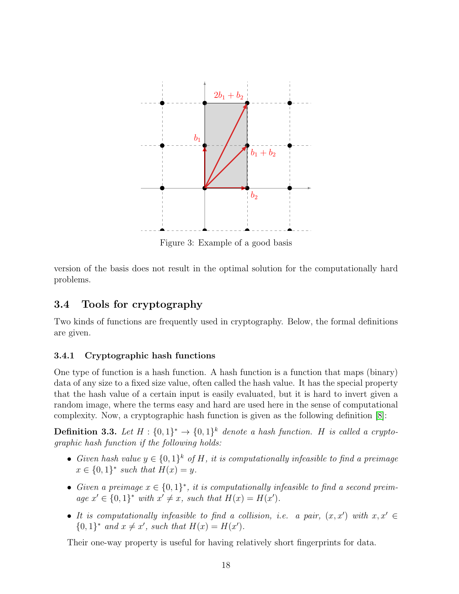

Figure 3: Example of a good basis

version of the basis does not result in the optimal solution for the computationally hard problems.

### <span id="page-22-0"></span>3.4 Tools for cryptography

Two kinds of functions are frequently used in cryptography. Below, the formal definitions are given.

### <span id="page-22-1"></span>3.4.1 Cryptographic hash functions

One type of function is a hash function. A hash function is a function that maps (binary) data of any size to a fixed size value, often called the hash value. It has the special property that the hash value of a certain input is easily evaluated, but it is hard to invert given a random image, where the terms easy and hard are used here in the sense of computational complexity. Now, a cryptographic hash function is given as the following definition [\[8\]](#page-41-0):

**Definition 3.3.** Let  $H: \{0,1\}^* \to \{0,1\}^k$  denote a hash function. H is called a cryptographic hash function if the following holds:

- Given hash value  $y \in \{0,1\}^k$  of H, it is computationally infeasible to find a preimage  $x \in \{0,1\}^*$  such that  $H(x) = y$ .
- Given a preimage  $x \in \{0,1\}^*$ , it is computationally infeasible to find a second preimage  $x' \in \{0,1\}^*$  with  $x' \neq x$ , such that  $H(x) = H(x')$ .
- It is computationally infeasible to find a collision, i.e. a pair,  $(x, x')$  with  $x, x' \in$  $\{0,1\}^*$  and  $x \neq x'$ , such that  $H(x) = H(x')$ .

Their one-way property is useful for having relatively short fingerprints for data.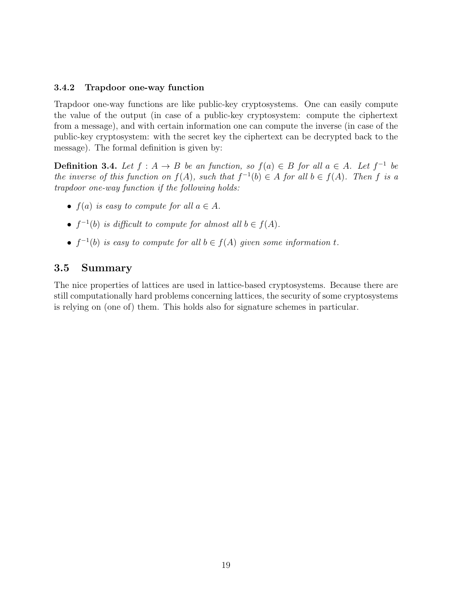#### <span id="page-23-0"></span>3.4.2 Trapdoor one-way function

Trapdoor one-way functions are like public-key cryptosystems. One can easily compute the value of the output (in case of a public-key cryptosystem: compute the ciphertext from a message), and with certain information one can compute the inverse (in case of the public-key cryptosystem: with the secret key the ciphertext can be decrypted back to the message). The formal definition is given by:

**Definition 3.4.** Let  $f : A \rightarrow B$  be an function, so  $f(a) \in B$  for all  $a \in A$ . Let  $f^{-1}$  be the inverse of this function on  $f(A)$ , such that  $f^{-1}(b) \in A$  for all  $b \in f(A)$ . Then f is a trapdoor one-way function if the following holds:

- $f(a)$  is easy to compute for all  $a \in A$ .
- $f^{-1}(b)$  is difficult to compute for almost all  $b \in f(A)$ .
- $f^{-1}(b)$  is easy to compute for all  $b \in f(A)$  given some information t.

### <span id="page-23-1"></span>3.5 Summary

The nice properties of lattices are used in lattice-based cryptosystems. Because there are still computationally hard problems concerning lattices, the security of some cryptosystems is relying on (one of) them. This holds also for signature schemes in particular.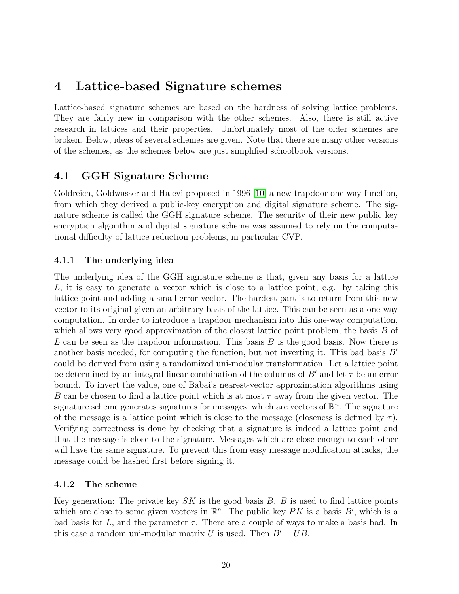## <span id="page-24-0"></span>4 Lattice-based Signature schemes

Lattice-based signature schemes are based on the hardness of solving lattice problems. They are fairly new in comparison with the other schemes. Also, there is still active research in lattices and their properties. Unfortunately most of the older schemes are broken. Below, ideas of several schemes are given. Note that there are many other versions of the schemes, as the schemes below are just simplified schoolbook versions.

### <span id="page-24-1"></span>4.1 GGH Signature Scheme

Goldreich, Goldwasser and Halevi proposed in 1996 [\[10\]](#page-41-7) a new trapdoor one-way function, from which they derived a public-key encryption and digital signature scheme. The signature scheme is called the GGH signature scheme. The security of their new public key encryption algorithm and digital signature scheme was assumed to rely on the computational difficulty of lattice reduction problems, in particular CVP.

### <span id="page-24-2"></span>4.1.1 The underlying idea

The underlying idea of the GGH signature scheme is that, given any basis for a lattice L, it is easy to generate a vector which is close to a lattice point, e.g. by taking this lattice point and adding a small error vector. The hardest part is to return from this new vector to its original given an arbitrary basis of the lattice. This can be seen as a one-way computation. In order to introduce a trapdoor mechanism into this one-way computation, which allows very good approximation of the closest lattice point problem, the basis  $B$  of L can be seen as the trapdoor information. This basis  $B$  is the good basis. Now there is another basis needed, for computing the function, but not inverting it. This bad basis  $B'$ could be derived from using a randomized uni-modular transformation. Let a lattice point be determined by an integral linear combination of the columns of B' and let  $\tau$  be an error bound. To invert the value, one of Babai's nearest-vector approximation algorithms using B can be chosen to find a lattice point which is at most  $\tau$  away from the given vector. The signature scheme generates signatures for messages, which are vectors of  $\mathbb{R}^n$ . The signature of the message is a lattice point which is close to the message (closeness is defined by  $\tau$ ). Verifying correctness is done by checking that a signature is indeed a lattice point and that the message is close to the signature. Messages which are close enough to each other will have the same signature. To prevent this from easy message modification attacks, the message could be hashed first before signing it.

### <span id="page-24-3"></span>4.1.2 The scheme

Key generation: The private key  $SK$  is the good basis B. B is used to find lattice points which are close to some given vectors in  $\mathbb{R}^n$ . The public key PK is a basis B', which is a bad basis for L, and the parameter  $\tau$ . There are a couple of ways to make a basis bad. In this case a random uni-modular matrix U is used. Then  $B' = UB$ .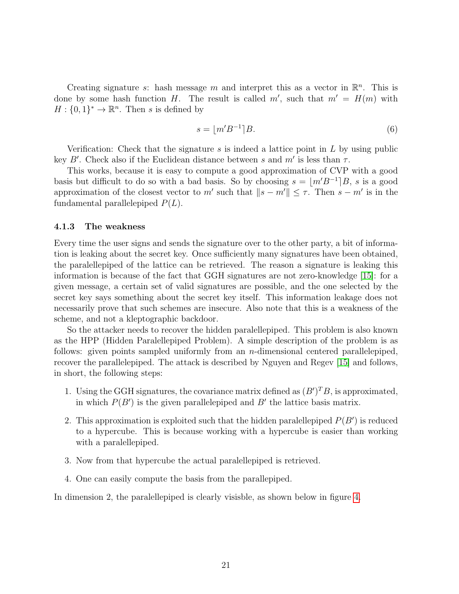Creating signature s: hash message m and interpret this as a vector in  $\mathbb{R}^n$ . This is done by some hash function H. The result is called  $m'$ , such that  $m' = H(m)$  with  $H: \{0,1\}^* \to \mathbb{R}^n$ . Then s is defined by

$$
s = |m'B^{-1}|B. \tag{6}
$$

Verification: Check that the signature s is indeed a lattice point in  $L$  by using public key B'. Check also if the Euclidean distance between s and  $m'$  is less than  $\tau$ .

This works, because it is easy to compute a good approximation of CVP with a good basis but difficult to do so with a bad basis. So by choosing  $s = \lfloor m'B^{-1} \rfloor B$ , s is a good approximation of the closest vector to m' such that  $||s - m'|| \leq \tau$ . Then  $s - m'$  is in the fundamental parallelepiped  $P(L)$ .

#### <span id="page-25-0"></span>4.1.3 The weakness

Every time the user signs and sends the signature over to the other party, a bit of information is leaking about the secret key. Once sufficiently many signatures have been obtained, the paralellepiped of the lattice can be retrieved. The reason a signature is leaking this information is because of the fact that GGH signatures are not zero-knowledge [\[15\]](#page-42-2): for a given message, a certain set of valid signatures are possible, and the one selected by the secret key says something about the secret key itself. This information leakage does not necessarily prove that such schemes are insecure. Also note that this is a weakness of the scheme, and not a kleptographic backdoor.

So the attacker needs to recover the hidden paralellepiped. This problem is also known as the HPP (Hidden Paralellepiped Problem). A simple description of the problem is as follows: given points sampled uniformly from an  $n$ -dimensional centered parallelepiped, recover the parallelepiped. The attack is described by Nguyen and Regev [\[15\]](#page-42-2) and follows, in short, the following steps:

- 1. Using the GGH signatures, the covariance matrix defined as  $(B')^T B$ , is approximated, in which  $P(B')$  is the given parallelepiped and  $B'$  the lattice basis matrix.
- 2. This approximation is exploited such that the hidden paralellepiped  $P(B')$  is reduced to a hypercube. This is because working with a hypercube is easier than working with a paralellepiped.
- 3. Now from that hypercube the actual paralellepiped is retrieved.
- 4. One can easily compute the basis from the parallepiped.

In dimension 2, the paralellepiped is clearly visisble, as shown below in figure [4.](#page-26-3)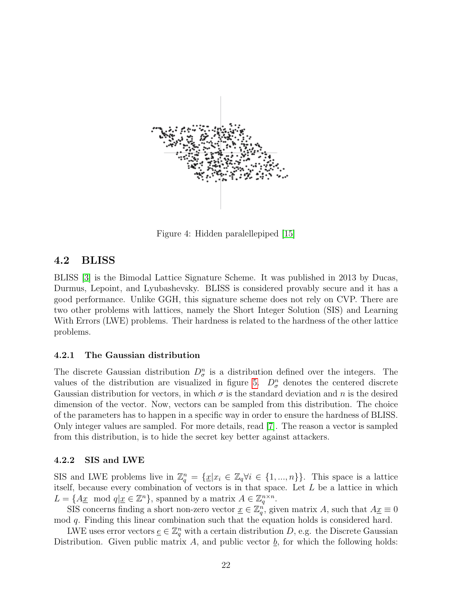<span id="page-26-3"></span>

Figure 4: Hidden paralellepiped [\[15\]](#page-42-2)

### <span id="page-26-0"></span>4.2 BLISS

BLISS [\[3\]](#page-41-5) is the Bimodal Lattice Signature Scheme. It was published in 2013 by Ducas, Durmus, Lepoint, and Lyubashevsky. BLISS is considered provably secure and it has a good performance. Unlike GGH, this signature scheme does not rely on CVP. There are two other problems with lattices, namely the Short Integer Solution (SIS) and Learning With Errors (LWE) problems. Their hardness is related to the hardness of the other lattice problems.

#### <span id="page-26-1"></span>4.2.1 The Gaussian distribution

The discrete Gaussian distribution  $D_{\sigma}^{n}$  is a distribution defined over the integers. The values of the distribution are visualized in figure [5.](#page-27-2)  $D_{\sigma}^{n}$  denotes the centered discrete Gaussian distribution for vectors, in which  $\sigma$  is the standard deviation and n is the desired dimension of the vector. Now, vectors can be sampled from this distribution. The choice of the parameters has to happen in a specific way in order to ensure the hardness of BLISS. Only integer values are sampled. For more details, read [\[7\]](#page-41-8). The reason a vector is sampled from this distribution, is to hide the secret key better against attackers.

#### <span id="page-26-2"></span>4.2.2 SIS and LWE

SIS and LWE problems live in  $\mathbb{Z}_q^n = {\{\underline{x} | x_i \in \mathbb{Z}_q \forall i \in \{1, ..., n\}}\}.$  This space is a lattice itself, because every combination of vectors is in that space. Let  $L$  be a lattice in which  $L = \{A\underline{x} \mod q | \underline{x} \in \mathbb{Z}^n\}$ , spanned by a matrix  $A \in \mathbb{Z}_q^{n \times n}$ .

SIS concerns finding a short non-zero vector  $\underline{x} \in \mathbb{Z}_q^n$ , given matrix A, such that  $A\underline{x} \equiv 0$ mod q. Finding this linear combination such that the equation holds is considered hard.

LWE uses error vectors  $\underline{e} \in \mathbb{Z}_q^n$  with a certain distribution D, e.g. the Discrete Gaussian Distribution. Given public matrix A, and public vector  $\underline{b}$ , for which the following holds: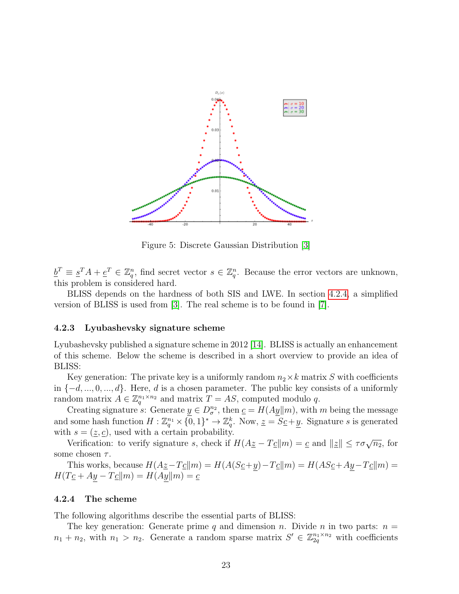<span id="page-27-2"></span>

Figure 5: Discrete Gaussian Distribution [\[3\]](#page-41-5)

 $\underline{b}^T \equiv \underline{s}^T A + \underline{e}^T \in \mathbb{Z}_q^n$ , find secret vector  $s \in \mathbb{Z}_q^n$ . Because the error vectors are unknown, this problem is considered hard.

BLISS depends on the hardness of both SIS and LWE. In section [4.2.4,](#page-27-1) a simplified version of BLISS is used from [\[3\]](#page-41-5). The real scheme is to be found in [\[7\]](#page-41-8).

#### <span id="page-27-0"></span>4.2.3 Lyubashevsky signature scheme

Lyubashevsky published a signature scheme in 2012 [\[14\]](#page-42-3). BLISS is actually an enhancement of this scheme. Below the scheme is described in a short overview to provide an idea of BLISS:

Key generation: The private key is a uniformly random  $n_2 \times k$  matrix S with coefficients in  $\{-d, ..., 0, ..., d\}$ . Here, d is a chosen parameter. The public key consists of a uniformly random matrix  $A \in \mathbb{Z}_q^{n_1 \times n_2}$  and matrix  $T = AS$ , computed modulo q.

Creating signature s: Generate  $\underline{y} \in D_{\sigma}^{n_2}$ , then  $\underline{c} = H(A \underline{y} || m)$ , with m being the message and some hash function  $H: \mathbb{Z}_q^{n_1} \times {\overline{0}}, 1$ <sup>\*</sup>  $\to \mathbb{Z}_q^k$ . Now,  $\underline{z} = S_{\underline{C}} + \underline{y}$ . Signature s is generated with  $s = (\underline{z}, \underline{c})$ , used with a certain probability.

Verification: to verify signature s, check if  $H(Az - T_c||m) = c$  and  $||z|| \leq \tau \sigma \sqrt{n_2}$ , for some chosen  $\tau$ .

This works, because  $H(Az-Tc||m) = H(A(Sc+y) - Tc||m) = H(ASc+Ay-Tc||m)$  $H(T_{\mathcal{L}} + Ay - T_{\mathcal{L}}||m) = H(Ay||m) = \underline{c}$ 

#### <span id="page-27-1"></span>4.2.4 The scheme

The following algorithms describe the essential parts of BLISS:

The key generation: Generate prime q and dimension n. Divide n in two parts:  $n =$  $n_1 + n_2$ , with  $n_1 > n_2$ . Generate a random sparse matrix  $S' \in \mathbb{Z}_{2q}^{n_1 \times n_2}$  with coefficients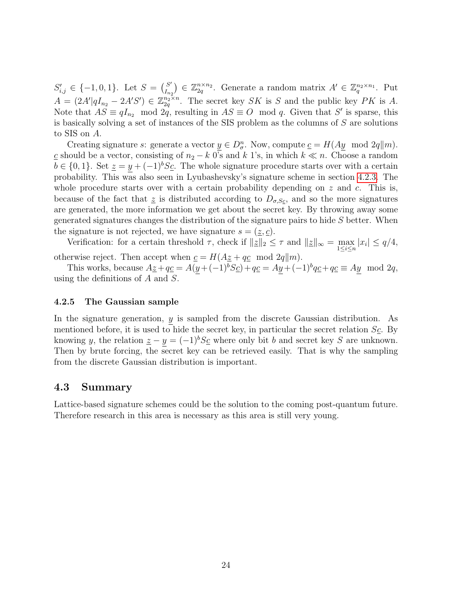$S'_{i,j} \in \{-1,0,1\}$ . Let  $S = \begin{pmatrix} S' \\ I_{n} \end{pmatrix}$  $\binom{S'}{I_{n_2}} \in \mathbb{Z}_{2q}^{n \times n_2}$ . Generate a random matrix  $A' \in \mathbb{Z}_q^{n_2 \times n_1}$ . Put  $A = (2A' | qI_{n_2} - 2A'S') \in \mathbb{Z}_{2q}^{n_2 \times n}$ . The secret key SK is S and the public key PK is A. Note that  $AS \equiv qI_{n_2} \mod 2q$ , resulting in  $AS \equiv O \mod q$ . Given that S' is sparse, this is basically solving a set of instances of the SIS problem as the columns of S are solutions to SIS on A.

Creating signature s: generate a vector  $\underline{y} \in D_{\sigma}^n$ . Now, compute  $\underline{c} = H(A\underline{y} \mod 2q || m)$ . c should be a vector, consisting of  $n_2 - k$  0's and k 1's, in which  $k \ll n$ . Choose a random  $b \in \{0, 1\}$ . Set  $\underline{z} = y + (-1)^{b} S_{\underline{c}}$ . The whole signature procedure starts over with a certain probability. This was also seen in Lyubashevsky's signature scheme in section [4.2.3.](#page-27-0) The whole procedure starts over with a certain probability depending on  $z$  and  $c$ . This is, because of the fact that  $\zeta$  is distributed according to  $D_{\sigma,Sc}$ , and so the more signatures are generated, the more information we get about the secret key. By throwing away some generated signatures changes the distribution of the signature pairs to hide  $S$  better. When the signature is not rejected, we have signature  $s = (\underline{z}, \underline{c})$ .

Verification: for a certain threshold  $\tau$ , check if  $||z||_2 \leq \tau$  and  $||z||_{\infty} = \max_{1 \leq i \leq n} |x_i| \leq q/4$ , otherwise reject. Then accept when  $\underline{c} = H(A\underline{z} + q\underline{c} \mod 2q||m)$ .

This works, because  $A\underline{z} + q\underline{c} = A(y + (-1)^b S\underline{c}) + q\underline{c} = Ay + (-1)^b q\underline{c} + q\underline{c} \equiv Ay \mod 2q$ , using the definitions of A and S.

#### <span id="page-28-0"></span>4.2.5 The Gaussian sample

In the signature generation,  $y$  is sampled from the discrete Gaussian distribution. As mentioned before, it is used to hide the secret key, in particular the secret relation  $S_{\mathcal{L}}$ . By knowing y, the relation  $\underline{z} - y = (-1)^b S_{\underline{c}}$  where only bit b and secret key S are unknown. Then by brute forcing, the secret key can be retrieved easily. That is why the sampling from the discrete Gaussian distribution is important.

#### <span id="page-28-1"></span>4.3 Summary

Lattice-based signature schemes could be the solution to the coming post-quantum future. Therefore research in this area is necessary as this area is still very young.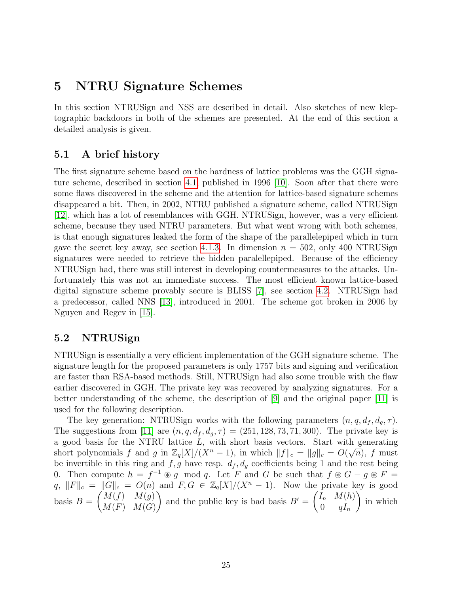### <span id="page-29-0"></span>5 NTRU Signature Schemes

In this section NTRUSign and NSS are described in detail. Also sketches of new kleptographic backdoors in both of the schemes are presented. At the end of this section a detailed analysis is given.

### <span id="page-29-1"></span>5.1 A brief history

The first signature scheme based on the hardness of lattice problems was the GGH signature scheme, described in section [4.1,](#page-24-1) published in 1996 [\[10\]](#page-41-7). Soon after that there were some flaws discovered in the scheme and the attention for lattice-based signature schemes disappeared a bit. Then, in 2002, NTRU published a signature scheme, called NTRUSign [\[12\]](#page-41-9), which has a lot of resemblances with GGH. NTRUSign, however, was a very efficient scheme, because they used NTRU parameters. But what went wrong with both schemes, is that enough signatures leaked the form of the shape of the parallelepiped which in turn gave the secret key away, see section [4.1.3.](#page-25-0) In dimension  $n = 502$ , only 400 NTRUSign signatures were needed to retrieve the hidden paralellepiped. Because of the efficiency NTRUSign had, there was still interest in developing countermeasures to the attacks. Unfortunately this was not an immediate success. The most efficient known lattice-based digital signature scheme provably secure is BLISS [\[7\]](#page-41-8), see section [4.2.](#page-26-0) NTRUSign had a predecessor, called NNS [\[13\]](#page-41-10), introduced in 2001. The scheme got broken in 2006 by Nguyen and Regev in [\[15\]](#page-42-2).

### <span id="page-29-2"></span>5.2 NTRUSign

NTRUSign is essentially a very efficient implementation of the GGH signature scheme. The signature length for the proposed parameters is only 1757 bits and signing and verification are faster than RSA-based methods. Still, NTRUSign had also some trouble with the flaw earlier discovered in GGH. The private key was recovered by analyzing signatures. For a better understanding of the scheme, the description of [\[9\]](#page-41-11) and the original paper [\[11\]](#page-41-12) is used for the following description.

The key generation: NTRUSign works with the following parameters  $(n, q, d_f, d_q, \tau)$ . The suggestions from [\[11\]](#page-41-12) are  $(n, q, d_f, d_q, \tau) = (251, 128, 73, 71, 300)$ . The private key is a good basis for the NTRU lattice L, with short basis vectors. Start with generating short polynomials f and g in  $\mathbb{Z}_q[X]/(X^n-1)$ , in which  $||f||_c = ||g||_c = O(\sqrt{n})$ , f must be invertible in this ring and  $f, g$  have resp.  $d_f, d_g$  coefficients being 1 and the rest being 0. Then compute  $h = f^{-1} \circledast g \mod q$ . Let F and G be such that  $f \circledast G - g \circledast F =$  $q, \|F\|_c = \|G\|_c = O(n)$  and  $F, G \in \mathbb{Z}_q[X]/(X^n - 1)$ . Now the private key is good basis  $B =$  $\int M(f)$   $M(g)$  $M(F)$   $M(G)$ ) and the public key is bad basis  $B' = \begin{pmatrix} I_n & M(h) \\ 0 & I_n \end{pmatrix}$  $0 \qquad qI_n$  $\setminus$ in which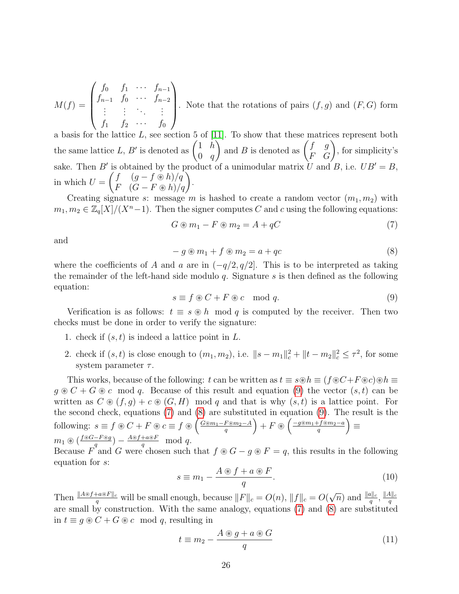$$
M(f) = \begin{pmatrix} f_0 & f_1 & \cdots & f_{n-1} \\ f_{n-1} & f_0 & \cdots & f_{n-2} \\ \vdots & \vdots & \ddots & \vdots \\ f_1 & f_2 & \cdots & f_0 \end{pmatrix}.
$$
 Note that the rotations of pairs  $(f, g)$  and  $(F, G)$  form

a basis for the lattice  $L$ , see section 5 of [\[11\]](#page-41-12). To show that these matrices represent both the same lattice L, B' is denoted as  $\begin{pmatrix} 1 & h \\ 0 & g \end{pmatrix}$  $0 \quad q$ ) and B is denoted as  $\begin{pmatrix} f & g \\ F & G \end{pmatrix}$ , for simplicity's sake. Then B' is obtained by the product of a unimodular matrix U and B, i.e.  $UB' = B$ , in which  $U =$  $\begin{pmatrix} f & (g - f \circledast h) / q \\ F & (G - F \circledast h) / q \end{pmatrix}$ .

Creating signature s: message m is hashed to create a random vector  $(m_1, m_2)$  with  $m_1, m_2 \in \mathbb{Z}_q[X]/(X^n-1)$ . Then the signer computes C and c using the following equations:

<span id="page-30-1"></span>
$$
G \circledast m_1 - F \circledast m_2 = A + qC \tag{7}
$$

and

<span id="page-30-2"></span>
$$
-g \circledast m_1 + f \circledast m_2 = a + qc \tag{8}
$$

where the coefficients of A and a are in  $(-q/2, q/2]$ . This is to be interpreted as taking the remainder of the left-hand side modulo  $q$ . Signature  $s$  is then defined as the following equation:

<span id="page-30-0"></span>
$$
s \equiv f \circledast C + F \circledast c \mod q. \tag{9}
$$

Verification is as follows:  $t \equiv s \otimes h \mod q$  is computed by the receiver. Then two checks must be done in order to verify the signature:

- 1. check if  $(s, t)$  is indeed a lattice point in  $L$ .
- 2. check if  $(s, t)$  is close enough to  $(m_1, m_2)$ , i.e.  $||s m_1||_c^2 + ||t m_2||_c^2 \le \tau^2$ , for some system parameter  $\tau$ .

This works, because of the following: t can be written as  $t \equiv s \circledast h \equiv (f \circledast C + F \circledast c) \circledast h \equiv$  $g \otimes C + G \otimes c$  mod q. Because of this result and equation [\(9\)](#page-30-0) the vector  $(s, t)$  can be written as  $C \otimes (f, g) + c \otimes (G, H) \mod q$  and that is why  $(s, t)$  is a lattice point. For the second check, equations [\(7\)](#page-30-1) and [\(8\)](#page-30-2) are substituted in equation [\(9\)](#page-30-0). The result is the following:  $s \equiv f \circledast C + F \circledast c \equiv f \circledast \left( \frac{G \circledast m_1 - F \circledast m_2 - A}{g} \right)$  $\left(\frac{F{\circledast}m_2-A}{q}\right)+F{\;\circledast\;}\left(\frac{-g{\circledast}m_1+f{\circledast}m_2-a}{q}\right)$  $\left(\frac{f {\mathbin{\circledast}} m_2 - a}{q}\right) \equiv$  $m_1 \circledast (\frac{f \circledast G - F \circledast g}{g})$  $\frac{q^{-F\circledast g}}{q}$  ) –  $\frac{A\circledast f+a\circledast F}{q}$  $\frac{+a \circledast F}{q} \mod q.$ 

Because  $F^4$  and G were chosen such that  $f \otimes G - g \otimes F = q$ , this results in the following equation for s:

<span id="page-30-3"></span>
$$
s \equiv m_1 - \frac{A \circledast f + a \circledast F}{q}.
$$
\n(10)

Then  $\frac{\|A\otimes f+a\otimes F\|_c}{q}$  will be small enough, because  $\|F\|_c = O(n)$ ,  $\|f\|_c = O(n)$  $\sqrt{n}$ ) and  $\frac{\|a\|_c}{q}$ ,  $\frac{\|A\|_c}{q}$ q are small by construction. With the same analogy, equations [\(7\)](#page-30-1) and [\(8\)](#page-30-2) are substituted in  $t \equiv q \otimes C + G \otimes c \mod q$ , resulting in

<span id="page-30-4"></span>
$$
t \equiv m_2 - \frac{A \circledast g + a \circledast G}{q} \tag{11}
$$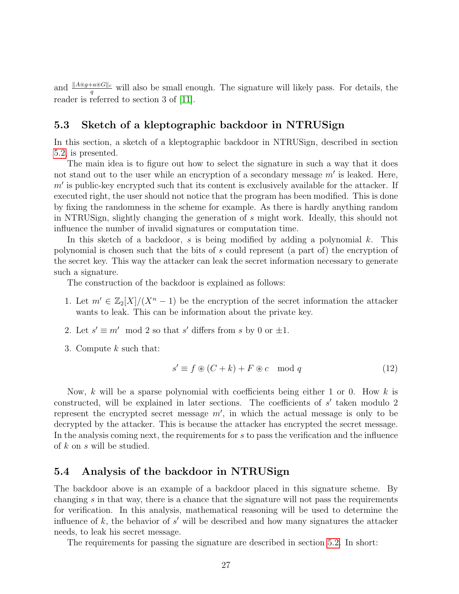and  $\frac{||A\otimes g+a\otimes G||_c}{q}$  will also be small enough. The signature will likely pass. For details, the reader is referred to section 3 of [\[11\]](#page-41-12).

### <span id="page-31-0"></span>5.3 Sketch of a kleptographic backdoor in NTRUSign

In this section, a sketch of a kleptographic backdoor in NTRUSign, described in section [5.2,](#page-29-2) is presented.

The main idea is to figure out how to select the signature in such a way that it does not stand out to the user while an encryption of a secondary message  $m'$  is leaked. Here,  $m'$  is public-key encrypted such that its content is exclusively available for the attacker. If executed right, the user should not notice that the program has been modified. This is done by fixing the randomness in the scheme for example. As there is hardly anything random in NTRUSign, slightly changing the generation of s might work. Ideally, this should not influence the number of invalid signatures or computation time.

In this sketch of a backdoor, s is being modified by adding a polynomial  $k$ . This polynomial is chosen such that the bits of s could represent (a part of) the encryption of the secret key. This way the attacker can leak the secret information necessary to generate such a signature.

The construction of the backdoor is explained as follows:

- 1. Let  $m' \in \mathbb{Z}_2[X]/(X^n-1)$  be the encryption of the secret information the attacker wants to leak. This can be information about the private key.
- 2. Let  $s' \equiv m' \mod 2$  so that s' differs from s by 0 or  $\pm 1$ .
- 3. Compute k such that:

<span id="page-31-2"></span>
$$
s' \equiv f \circledast (C + k) + F \circledast c \mod q \tag{12}
$$

Now, k will be a sparse polynomial with coefficients being either 1 or 0. How k is constructed, will be explained in later sections. The coefficients of  $s'$  taken modulo 2 represent the encrypted secret message  $m'$ , in which the actual message is only to be decrypted by the attacker. This is because the attacker has encrypted the secret message. In the analysis coming next, the requirements for s to pass the verification and the influence of k on s will be studied.

### <span id="page-31-1"></span>5.4 Analysis of the backdoor in NTRUSign

The backdoor above is an example of a backdoor placed in this signature scheme. By changing  $s$  in that way, there is a chance that the signature will not pass the requirements for verification. In this analysis, mathematical reasoning will be used to determine the influence of  $k$ , the behavior of  $s'$  will be described and how many signatures the attacker needs, to leak his secret message.

The requirements for passing the signature are described in section [5.2.](#page-29-2) In short: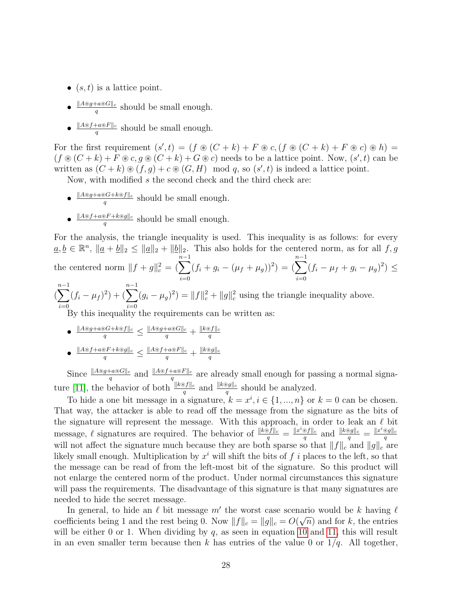- $(s, t)$  is a lattice point.
- $||A \circledast g + a \circledast G||_c$  $\frac{a \otimes G \parallel c}{q}$  should be small enough.
- $||A \circledast f + a \circledast F||_c$  $\frac{f(a) \# f''(b)}{q}$  should be small enough.

For the first requirement  $(s', t) = (f \circledast (C + k) + F \circledast c, (f \circledast (C + k) + F \circledast c) \circledast h) =$  $(f \otimes (C + k) + F \otimes c, g \otimes (C + k) + G \otimes c)$  needs to be a lattice point. Now,  $(s', t)$  can be written as  $(C + k) \otimes (f, g) + c \otimes (G, H) \mod q$ , so  $(s', t)$  is indeed a lattice point.

Now, with modified  $s$  the second check and the third check are:

- $||A \circledast g + a \circledast G + k \circledast f||_c$  $\frac{\partial G + \kappa \otimes f||c}{q}$  should be small enough.
- $||A \circledast f + a \circledast F + k \circledast g||_c$  $\frac{\partial F + \kappa \otimes g_{\parallel c}}{q}$  should be small enough.

For the analysis, the triangle inequality is used. This inequality is as follows: for every  $\underline{a}, \underline{b} \in \mathbb{R}^n$ ,  $\|\underline{a} + \underline{b}\|_2 \le \|\underline{a}\|_2 + \|\underline{b}\|_2$ . This also holds for the centered norm, as for all  $f, g$ the centered norm  $||f + g||_c^2 = (\sum^{n-1}$  $i=0$  $(f_i + g_i - (\mu_f + \mu_g))^2) = (\sum^{n-1}$  $i=0$  $(f_i - \mu_f + g_i - \mu_g)^2) \leq$  $\sum_{n=1}^{n-1}$  $i=0$  $(f_i - \mu_f)^2$  +  $\left(\sum^{n-1}$  $i=0$  $(g_i - \mu_g)^2$  =  $||f||_c^2 + ||g||_c^2$  using the triangle inequality above.

By this inequality the requirements can be written as:

 $\begin{array}{l} \bullet \ \frac{\|A {\circledast} g + a {\circledast} G + k {\circledast} f \|_c}{q} \leq \frac{\|A {\circledast} g + a {\circledast} G \|_c}{q} + \frac{\|k {\circledast} f \|_c}{q} \end{array}$ q  $\begin{array}{l} \bullet \ \frac{\|A\circledast f+a\circledast F+k\circledast g\|_c}{q}\leq\frac{\|A\circledast f+a\circledast F\|_c}{q}+\frac{\|k\circledast g\|_c}{q} \end{array}$ q

Since  $\frac{\|A\otimes g+a\otimes G\|_c}{q}$  and  $\frac{\|A\otimes f+a\otimes F\|_c}{q}$  are already small enough for passing a normal signa-ture [\[11\]](#page-41-12), the behavior of both  $\frac{||k \otimes f||_c}{q}$  and  $\frac{||k \otimes g||_c}{q}$  should be analyzed.

To hide a one bit message in a signature,  $k = x^i, i \in \{1, ..., n\}$  or  $k = 0$  can be chosen. That way, the attacker is able to read off the message from the signature as the bits of the signature will represent the message. With this approach, in order to leak an  $\ell$  bit message,  $\ell$  signatures are required. The behavior of  $\frac{\Vert k\widehat{\otimes}f\Vert_c}{q} = \frac{\Vert x^i\otimes f\Vert_c}{q}$  $\frac{\partial f||c}{q}$  and  $\frac{||k \otimes g||_c}{q} = \frac{||x^i \otimes g||_c}{q}$ q will not affect the signature much because they are both sparse so that  $||f||_c$  and  $||g||_c$  are likely small enough. Multiplication by  $x^i$  will shift the bits of f i places to the left, so that the message can be read of from the left-most bit of the signature. So this product will not enlarge the centered norm of the product. Under normal circumstances this signature will pass the requirements. The disadvantage of this signature is that many signatures are needed to hide the secret message.

In general, to hide an  $\ell$  bit message m' the worst case scenario would be k having  $\ell$ coefficients being 1 and the rest being 0. Now  $||f||_c = ||g||_c = O(\sqrt{n})$  and for k, the entries will be either 0 or 1. When dividing by  $q$ , as seen in equation [10](#page-30-3) and [11,](#page-30-4) this will result in an even smaller term because then k has entries of the value 0 or  $1/q$ . All together,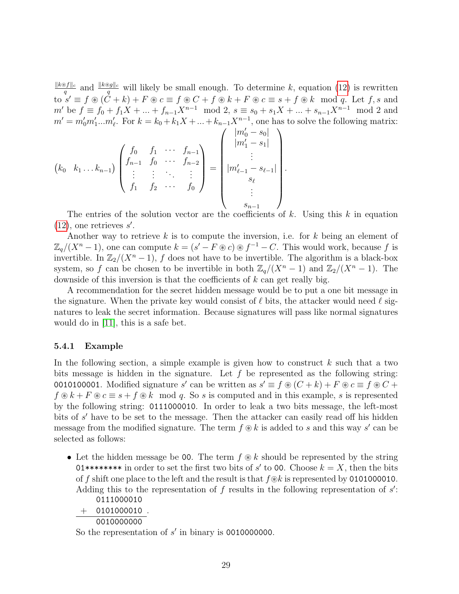$||k$ <sup>®</sup> $f||_c$  $\frac{\partial f||c}{q}$  and  $\frac{||k\otimes g||_c}{q}$  will likely be small enough. To determine k, equation [\(12\)](#page-31-2) is rewritten to  $s' \equiv f \circledast (\check{C} + k) + F \circledast c \equiv f \circledast C + f \circledast k + F \circledast c \equiv s + f \circledast k \mod q$ . Let  $f, s$  and m' be  $f \equiv f_0 + f_1 X + ... + f_{n-1} X^{n-1} \mod 2$ ,  $s \equiv s_0 + s_1 X + ... + s_{n-1} X^{n-1} \mod 2$  and  $m' = m'_0 m'_1 ... m'_\ell$ . For  $k = k_0 + k_1 X + ... + k_{n-1} X^{n-1}$ , one has to solve the following matrix:

$$
(k_0 \quad k_1 \dots k_{n-1}) \begin{pmatrix} f_0 & f_1 & \cdots & f_{n-1} \\ f_{n-1} & f_0 & \cdots & f_{n-2} \\ \vdots & \vdots & \ddots & \vdots \\ f_1 & f_2 & \cdots & f_0 \end{pmatrix} = \begin{pmatrix} |m'_0 - s_0| \\ |m'_1 - s_1| \\ \vdots \\ |m'_{\ell-1} - s_{\ell-1}| \\ s_{\ell} \\ \vdots \\ s_{n-1} \end{pmatrix}.
$$

The entries of the solution vector are the coefficients of k. Using this k in equation  $(12)$ , one retrieves s'.

Another way to retrieve  $k$  is to compute the inversion, i.e. for  $k$  being an element of  $\mathbb{Z}_q/(X^n-1)$ , one can compute  $k = (s' - F \otimes c) \otimes f^{-1} - C$ . This would work, because f is invertible. In  $\mathbb{Z}_2/(X^n-1)$ , f does not have to be invertible. The algorithm is a black-box system, so f can be chosen to be invertible in both  $\mathbb{Z}_q/(X^n-1)$  and  $\mathbb{Z}_2/(X^n-1)$ . The downside of this inversion is that the coefficients of  $k$  can get really big.

A recommendation for the secret hidden message would be to put a one bit message in the signature. When the private key would consist of  $\ell$  bits, the attacker would need  $\ell$  signatures to leak the secret information. Because signatures will pass like normal signatures would do in [\[11\]](#page-41-12), this is a safe bet.

#### <span id="page-33-0"></span>5.4.1 Example

In the following section, a simple example is given how to construct  $k$  such that a two bits message is hidden in the signature. Let  $f$  be represented as the following string: 0010100001. Modified signature s' can be written as  $s' \equiv f \circledast (C + k) + F \circledast c \equiv f \circledast C + k$  $f \circledast k + F \circledast c \equiv s + f \circledast k \mod q$ . So s is computed and in this example, s is represented by the following string: 0111000010. In order to leak a two bits message, the left-most bits of s' have to be set to the message. Then the attacker can easily read off his hidden message from the modified signature. The term  $f \circledast k$  is added to s and this way s' can be selected as follows:

• Let the hidden message be 00. The term  $f \otimes k$  should be represented by the string 01\*\*\*\*\*\*\*\* in order to set the first two bits of s 0 to 00. Choose k = X, then the bits of f shift one place to the left and the result is that  $f$  $\&k$  is represented by 0101000010. Adding this to the representation of  $f$  results in the following representation of  $s'$ : 0111000010

$$
\frac{+\quad 0101000010}{0010000000}.
$$

So the representation of  $s'$  in binary is 0010000000.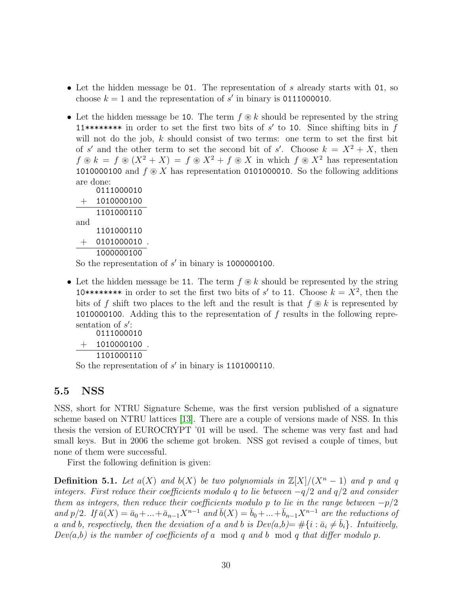- Let the hidden message be 01. The representation of s already starts with 01, so choose  $k = 1$  and the representation of s' in binary is 0111000010.
- Let the hidden message be 10. The term  $f \otimes k$  should be represented by the string 11\*\*\*\*\*\*\*\* in order to set the first two bits of  $s'$  to 10. Since shifting bits in  $f$ will not do the job,  $k$  should consist of two terms: one term to set the first bit of s' and the other term to set the second bit of s'. Choose  $k = X^2 + X$ , then  $f \circledast k = f \circledast (X^2 + X) = f \circledast X^2 + f \circledast X$  in which  $f \circledast X^2$  has representation 1010000100 and  $f \otimes X$  has representation 0101000010. So the following additions are done:

|     | 0111000010 |  |
|-----|------------|--|
|     | 1010000100 |  |
|     | 1101000110 |  |
| and |            |  |
|     | 1101000110 |  |
|     | 0101000010 |  |
|     | 1000000100 |  |

So the representation of  $s'$  in binary is 1000000100.

• Let the hidden message be 11. The term  $f \otimes k$  should be represented by the string 10\*\*\*\*\*\*\*\* in order to set the first two bits of s' to 11. Choose  $k = X^2$ , then the bits of f shift two places to the left and the result is that  $f \otimes k$  is represented by 1010000100. Adding this to the representation of f results in the following representation of  $s'$ :

```
0111000010
+ 1010000100.
   1101000110
```
So the representation of  $s'$  in binary is 1101000110.

### <span id="page-34-0"></span>5.5 NSS

NSS, short for NTRU Signature Scheme, was the first version published of a signature scheme based on NTRU lattices [\[13\]](#page-41-10). There are a couple of versions made of NSS. In this thesis the version of EUROCRYPT '01 will be used. The scheme was very fast and had small keys. But in 2006 the scheme got broken. NSS got revised a couple of times, but none of them were successful.

First the following definition is given:

**Definition 5.1.** Let  $a(X)$  and  $b(X)$  be two polynomials in  $\mathbb{Z}[X]/(X^n-1)$  and p and q integers. First reduce their coefficients modulo q to lie between  $-q/2$  and  $q/2$  and consider them as integers, then reduce their coefficients modulo p to lie in the range between  $-p/2$ and p/2. If  $\bar{a}(X) = \bar{a}_0 + ... + \bar{a}_{n-1}X^{n-1}$  and  $\bar{b}(X) = \bar{b}_0 + ... + \bar{b}_{n-1}X^{n-1}$  are the reductions of a and b, respectively, then the deviation of a and b is  $Dev(a,b) = #\{i : \bar{a}_i \neq \bar{b}_i\}$ . Intuitively,  $Dev(a,b)$  is the number of coefficients of a mod q and b mod q that differ modulo p.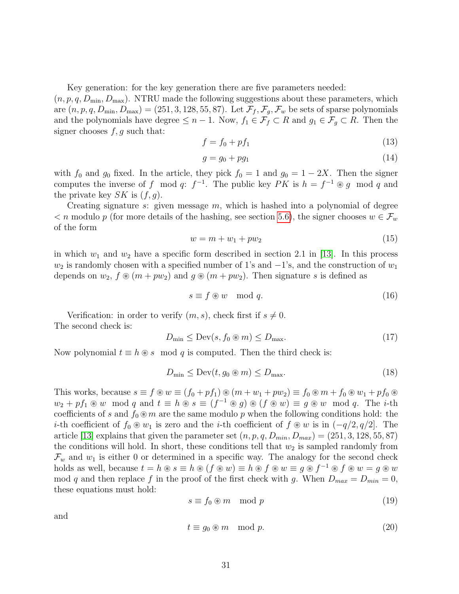Key generation: for the key generation there are five parameters needed:

 $(n, p, q, D_{\min}, D_{\max})$ . NTRU made the following suggestions about these parameters, which are  $(n, p, q, D_{min}, D_{max}) = (251, 3, 128, 55, 87)$ . Let  $\mathcal{F}_f, \mathcal{F}_g, \mathcal{F}_w$  be sets of sparse polynomials and the polynomials have degree  $\leq n-1$ . Now,  $f_1 \in \mathcal{F}_f \subset R$  and  $g_1 \in \mathcal{F}_g \subset R$ . Then the signer chooses  $f, g$  such that:

$$
f = f_0 + pf_1 \tag{13}
$$

$$
g = g_0 + pg_1 \tag{14}
$$

with  $f_0$  and  $g_0$  fixed. In the article, they pick  $f_0 = 1$  and  $g_0 = 1 - 2X$ . Then the signer computes the inverse of f mod q:  $f^{-1}$ . The public key PK is  $h = f^{-1} \otimes g$  mod q and the private key  $SK$  is  $(f, g)$ .

Creating signature  $s$ : given message  $m$ , which is hashed into a polynomial of degree  $\lt n$  modulo p (for more details of the hashing, see section [5.6\)](#page-36-0), the signer chooses  $w \in \mathcal{F}_w$ of the form

$$
w = m + w_1 + pw_2 \tag{15}
$$

in which  $w_1$  and  $w_2$  have a specific form described in section 2.1 in [\[13\]](#page-41-10). In this process  $w_2$  is randomly chosen with a specified number of 1's and  $-1$ 's, and the construction of  $w_1$ depends on  $w_2$ ,  $f \otimes (m + pw_2)$  and  $g \otimes (m + pw_2)$ . Then signature s is defined as

$$
s \equiv f \circledast w \mod q. \tag{16}
$$

Verification: in order to verify  $(m, s)$ , check first if  $s \neq 0$ . The second check is:

<span id="page-35-0"></span>
$$
D_{\min} \le \text{Dev}(s, f_0 \circledast m) \le D_{\max}.\tag{17}
$$

Now polynomial  $t \equiv h \otimes s \mod q$  is computed. Then the third check is:

<span id="page-35-1"></span>
$$
D_{\min} \le \text{Dev}(t, g_0 \circledast m) \le D_{\max}.\tag{18}
$$

This works, because  $s \equiv f \circledast w \equiv (f_0 + pf_1) \circledast (m + w_1 + pw_2) \equiv f_0 \circledast m + f_0 \circledast w_1 + pf_0 \circledast$  $w_2 + pf_1 \otimes w \mod q$  and  $t \equiv h \otimes s \equiv (f^{-1} \otimes g) \otimes (f \otimes w) \equiv g \otimes w \mod q$ . The *i*-th coefficients of s and  $f_0 \otimes m$  are the same modulo p when the following conditions hold: the *i*-th coefficient of  $f_0 ∅ w_1$  is zero and the *i*-th coefficient of  $f ∆ w$  is in  $(-q/2, q/2]$ . The article [\[13\]](#page-41-10) explains that given the parameter set  $(n, p, q, D_{min}, D_{max}) = (251, 3, 128, 55, 87)$ the conditions will hold. In short, these conditions tell that  $w_2$  is sampled randomly from  $\mathcal{F}_w$  and  $w_1$  is either 0 or determined in a specific way. The analogy for the second check holds as well, because  $t = h \circledast s \equiv h \circledast (f \circledast w) \equiv h \circledast f \circledast w \equiv g \circledast f^{-1} \circledast f \circledast w = g \circledast w$ mod q and then replace f in the proof of the first check with g. When  $D_{max} = D_{min} = 0$ , these equations must hold:

$$
s \equiv f_0 \circledast m \mod p \tag{19}
$$

and

$$
t \equiv g_0 \circledast m \mod p. \tag{20}
$$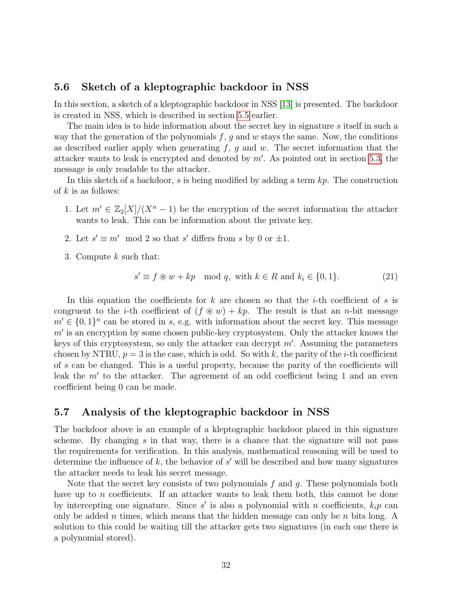#### <span id="page-36-0"></span>5.6 Sketch of a kleptographic backdoor in NSS

In this section, a sketch of a kleptographic backdoor in NSS [\[13\]](#page-41-10) is presented. The backdoor is created in NSS, which is described in section [5.5](#page-34-0) earlier.

The main idea is to hide information about the secret key in signature s itself in such a way that the generation of the polynomials  $f, g$  and w stays the same. Now, the conditions as described earlier apply when generating  $f, g$  and  $w$ . The secret information that the attacker wants to leak is encrypted and denoted by  $m'$ . As pointed out in section [5.3,](#page-31-0) the message is only readable to the attacker.

In this sketch of a backdoor, s is being modified by adding a term  $kp$ . The construction of  $k$  is as follows:

- 1. Let  $m' \in \mathbb{Z}_2[X]/(X^n-1)$  be the encryption of the secret information the attacker wants to leak. This can be information about the private key.
- 2. Let  $s' \equiv m' \mod 2$  so that s' differs from s by 0 or  $\pm 1$ .
- 3. Compute k such that:

$$
s' \equiv f \circledast w + kp \mod q, \text{ with } k \in R \text{ and } k_i \in \{0, 1\}. \tag{21}
$$

In this equation the coefficients for k are chosen so that the *i*-th coefficient of s is congruent to the *i*-th coefficient of  $(f \otimes w) + kp$ . The result is that an *n*-bit message  $m' \in \{0,1\}^n$  can be stored in s, e.g. with information about the secret key. This message  $m'$  is an encryption by some chosen public-key cryptosystem. Only the attacker knows the keys of this cryptosystem, so only the attacker can decrypt  $m'$ . Assuming the parameters chosen by NTRU,  $p = 3$  is the case, which is odd. So with k, the parity of the *i*-th coefficient of s can be changed. This is a useful property, because the parity of the coefficients will leak the  $m'$  to the attacker. The agreement of an odd coefficient being 1 and an even coefficient being 0 can be made.

### <span id="page-36-1"></span>5.7 Analysis of the kleptographic backdoor in NSS

The backdoor above is an example of a kleptographic backdoor placed in this signature scheme. By changing  $s$  in that way, there is a chance that the signature will not pass the requirements for verification. In this analysis, mathematical reasoning will be used to determine the influence of  $k$ , the behavior of  $s'$  will be described and how many signatures the attacker needs to leak his secret message.

Note that the secret key consists of two polynomials f and g. These polynomials both have up to *n* coefficients. If an attacker wants to leak them both, this cannot be done by intercepting one signature. Since  $s'$  is also a polynomial with n coefficients,  $k_i p$  can only be added n times, which means that the hidden message can only be n bits long. A solution to this could be waiting till the attacker gets two signatures (in each one there is a polynomial stored).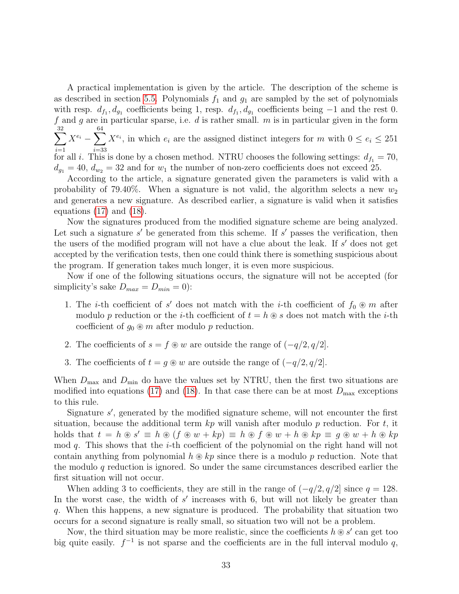A practical implementation is given by the article. The description of the scheme is as described in section [5.5.](#page-34-0) Polynomials  $f_1$  and  $g_1$  are sampled by the set of polynomials with resp.  $d_{f_1}, d_{g_1}$  coefficients being 1, resp.  $d_{f_1}, d_{g_1}$  coefficients being  $-1$  and the rest 0. f and g are in particular sparse, i.e.  $d$  is rather small.  $m$  is in particular given in the form  $\sum$ 32  $i=1$  $X^{e_i} - \sum$ 64 i=33  $X^{e_i}$ , in which  $e_i$  are the assigned distinct integers for m with  $0 \le e_i \le 251$ for all i. This is done by a chosen method. NTRU chooses the following settings:  $d_{f_1} = 70$ ,  $d_{q_1} = 40$ ,  $d_{w_2} = 32$  and for  $w_1$  the number of non-zero coefficients does not exceed 25.

According to the article, a signature generated given the parameters is valid with a probability of 79.40%. When a signature is not valid, the algorithm selects a new  $w_2$ and generates a new signature. As described earlier, a signature is valid when it satisfies equations [\(17\)](#page-35-0) and [\(18\)](#page-35-1).

Now the signatures produced from the modified signature scheme are being analyzed. Let such a signature  $s'$  be generated from this scheme. If  $s'$  passes the verification, then the users of the modified program will not have a clue about the leak. If  $s'$  does not get accepted by the verification tests, then one could think there is something suspicious about the program. If generation takes much longer, it is even more suspicious.

Now if one of the following situations occurs, the signature will not be accepted (for simplicity's sake  $D_{max} = D_{min} = 0$ :

- 1. The *i*-th coefficient of s' does not match with the *i*-th coefficient of  $f_0 \otimes m$  after modulo p reduction or the *i*-th coefficient of  $t = h \otimes s$  does not match with the *i*-th coefficient of  $g_0 \otimes m$  after modulo p reduction.
- 2. The coefficients of  $s = f \circledast w$  are outside the range of  $(-q/2, q/2]$ .
- 3. The coefficients of  $t = g \otimes w$  are outside the range of  $(-q/2, q/2]$ .

When  $D_{\text{max}}$  and  $D_{\text{min}}$  do have the values set by NTRU, then the first two situations are modified into equations [\(17\)](#page-35-0) and [\(18\)](#page-35-1). In that case there can be at most  $D_{\text{max}}$  exceptions to this rule.

Signature  $s'$ , generated by the modified signature scheme, will not encounter the first situation, because the additional term  $kp$  will vanish after modulo p reduction. For t, it holds that  $t = h \circledast s' \equiv h \circledast (f \circledast w + kp) \equiv h \circledast f \circledast w + h \circledast kp \equiv g \circledast w + h \circledast kp$ mod  $q$ . This shows that the *i*-th coefficient of the polynomial on the right hand will not contain anything from polynomial  $h \otimes kp$  since there is a modulo p reduction. Note that the modulo  $q$  reduction is ignored. So under the same circumstances described earlier the first situation will not occur.

When adding 3 to coefficients, they are still in the range of  $(-q/2, q/2]$  since  $q = 128$ . In the worst case, the width of  $s'$  increases with 6, but will not likely be greater than q. When this happens, a new signature is produced. The probability that situation two occurs for a second signature is really small, so situation two will not be a problem.

Now, the third situation may be more realistic, since the coefficients  $h \otimes s'$  can get too big quite easily.  $f^{-1}$  is not sparse and the coefficients are in the full interval modulo q,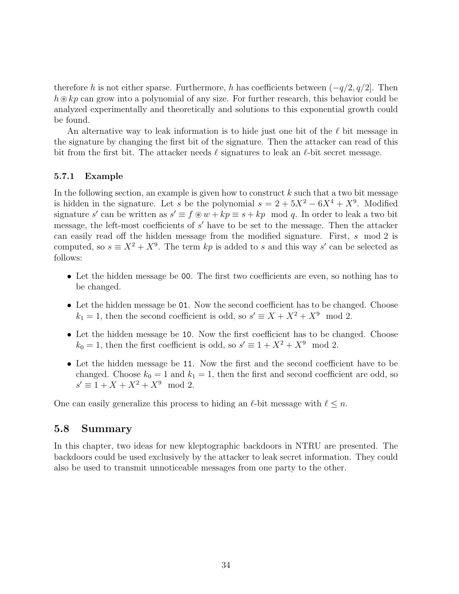therefore h is not either sparse. Furthermore, h has coefficients between  $(-q/2, q/2]$ . Then  $h\otimes kp$  can grow into a polynomial of any size. For further research, this behavior could be analyzed experimentally and theoretically and solutions to this exponential growth could be found.

An alternative way to leak information is to hide just one bit of the  $\ell$  bit message in the signature by changing the first bit of the signature. Then the attacker can read of this bit from the first bit. The attacker needs  $\ell$  signatures to leak an  $\ell$ -bit secret message.

#### <span id="page-38-0"></span>5.7.1 Example

In the following section, an example is given how to construct  $k$  such that a two bit message is hidden in the signature. Let s be the polynomial  $s = 2 + 5X^2 - 6X^4 + X^9$ . Modified signature s' can be written as  $s' \equiv f \circledast w + kp \equiv s + kp \mod q$ . In order to leak a two bit message, the left-most coefficients of  $s'$  have to be set to the message. Then the attacker can easily read off the hidden message from the modified signature. First, s mod 2 is computed, so  $s \equiv X^2 + X^9$ . The term kp is added to s and this way s' can be selected as follows:

- Let the hidden message be 00. The first two coefficients are even, so nothing has to be changed.
- Let the hidden message be 01. Now the second coefficient has to be changed. Choose  $k_1 = 1$ , then the second coefficient is odd, so  $s' \equiv X + X^2 + X^9 \mod 2$ .
- Let the hidden message be 10. Now the first coefficient has to be changed. Choose  $k_0 = 1$ , then the first coefficient is odd, so  $s' \equiv 1 + X^2 + X^9 \mod 2$ .
- Let the hidden message be 11. Now the first and the second coefficient have to be changed. Choose  $k_0 = 1$  and  $k_1 = 1$ , then the first and second coefficient are odd, so  $s' \equiv 1 + X + X^2 + X^9 \mod 2.$

One can easily generalize this process to hiding an  $\ell$ -bit message with  $\ell \leq n$ .

### <span id="page-38-1"></span>5.8 Summary

In this chapter, two ideas for new kleptographic backdoors in NTRU are presented. The backdoors could be used exclusively by the attacker to leak secret information. They could also be used to transmit unnoticeable messages from one party to the other.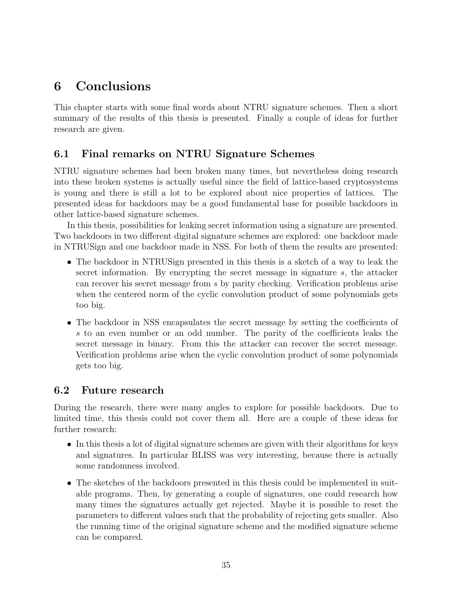## <span id="page-39-0"></span>6 Conclusions

This chapter starts with some final words about NTRU signature schemes. Then a short summary of the results of this thesis is presented. Finally a couple of ideas for further research are given.

### <span id="page-39-1"></span>6.1 Final remarks on NTRU Signature Schemes

NTRU signature schemes had been broken many times, but nevertheless doing research into these broken systems is actually useful since the field of lattice-based cryptosystems is young and there is still a lot to be explored about nice properties of lattices. The presented ideas for backdoors may be a good fundamental base for possible backdoors in other lattice-based signature schemes.

In this thesis, possibilities for leaking secret information using a signature are presented. Two backdoors in two different digital signature schemes are explored: one backdoor made in NTRUSign and one backdoor made in NSS. For both of them the results are presented:

- The backdoor in NTRUSign presented in this thesis is a sketch of a way to leak the secret information. By encrypting the secret message in signature s, the attacker can recover his secret message from s by parity checking. Verification problems arise when the centered norm of the cyclic convolution product of some polynomials gets too big.
- The backdoor in NSS encapsulates the secret message by setting the coefficients of s to an even number or an odd number. The parity of the coefficients leaks the secret message in binary. From this the attacker can recover the secret message. Verification problems arise when the cyclic convolution product of some polynomials gets too big.

### <span id="page-39-2"></span>6.2 Future research

During the research, there were many angles to explore for possible backdoors. Due to limited time, this thesis could not cover them all. Here are a couple of these ideas for further research:

- In this thesis a lot of digital signature schemes are given with their algorithms for keys and signatures. In particular BLISS was very interesting, because there is actually some randomness involved.
- The sketches of the backdoors presented in this thesis could be implemented in suitable programs. Then, by generating a couple of signatures, one could research how many times the signatures actually get rejected. Maybe it is possible to reset the parameters to different values such that the probability of rejecting gets smaller. Also the running time of the original signature scheme and the modified signature scheme can be compared.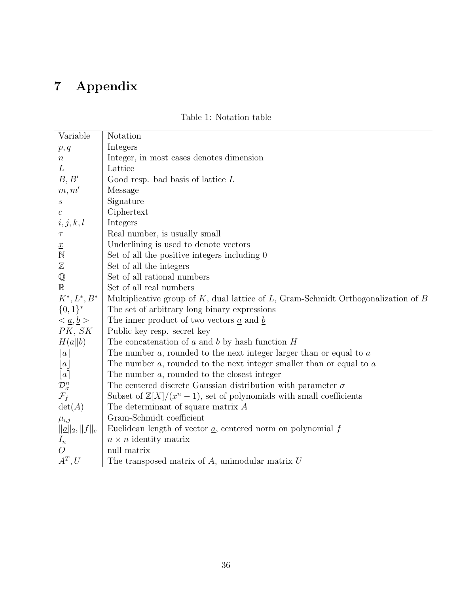# <span id="page-40-0"></span>7 Appendix

| Variable                                       | Notation                                                                                  |
|------------------------------------------------|-------------------------------------------------------------------------------------------|
| p, q                                           | Integers                                                                                  |
| $\,n$                                          | Integer, in most cases denotes dimension                                                  |
| L                                              | Lattice                                                                                   |
| B, B'                                          | Good resp. bad basis of lattice $L$                                                       |
| m, m'                                          | Message                                                                                   |
| $\boldsymbol{s}$                               | Signature                                                                                 |
| $\boldsymbol{c}$                               | Ciphertext                                                                                |
| i, j, k, l                                     | Integers                                                                                  |
| $\tau$                                         | Real number, is usually small                                                             |
| $\underline{x}$                                | Underlining is used to denote vectors                                                     |
| $\mathbb N$                                    | Set of all the positive integers including 0                                              |
| $\mathbb Z$                                    | Set of all the integers                                                                   |
| ${\mathbb Q}$                                  | Set of all rational numbers                                                               |
| $\mathbb R$                                    | Set of all real numbers                                                                   |
| $K^{\ast}, L^{\ast}, B^{\ast}$                 | Multiplicative group of $K$ , dual lattice of $L$ , Gram-Schmidt Orthogonalization of $B$ |
| $\{0,1\}^*$                                    | The set of arbitrary long binary expressions                                              |
| $\langle \underline{a}, \underline{b} \rangle$ | The inner product of two vectors $\underline{a}$ and $\underline{b}$                      |
| PK, SK                                         | Public key resp. secret key                                                               |
| H(a  b)                                        | The concatenation of $a$ and $b$ by hash function $H$                                     |
| $\lceil a \rceil$                              | The number $a$ , rounded to the next integer larger than or equal to $a$                  |
| $\lfloor a\rfloor$                             | The number $a$ , rounded to the next integer smaller than or equal to $a$                 |
| $\lfloor a \rceil$                             | The number $a$ , rounded to the closest integer                                           |
| $\mathcal{D}^n_\sigma$                         | The centered discrete Gaussian distribution with parameter $\sigma$                       |
| $\mathcal{F}_f$                                | Subset of $\mathbb{Z}[X]/(x^n-1)$ , set of polynomials with small coefficients            |
| $\det(A)$                                      | The determinant of square matrix $A$                                                      |
| $\mu_{i,j}$                                    | Gram-Schmidt coefficient                                                                  |
| $\ \underline{a}\ _2, \ f\ _c$                 | Euclidean length of vector $\underline{a}$ , centered norm on polynomial f                |
| $I_n$                                          | $n \times n$ identity matrix                                                              |
| $\overline{O}$                                 | null matrix                                                                               |
| $A^T, U$                                       | The transposed matrix of $A$ , unimodular matrix $U$                                      |

### Table 1: Notation table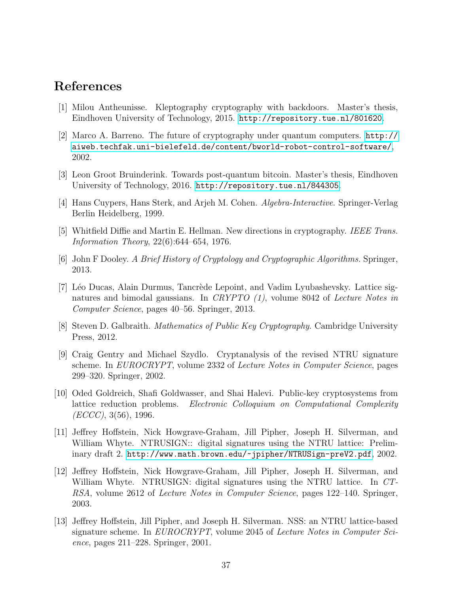### References

- <span id="page-41-4"></span>[1] Milou Antheunisse. Kleptography cryptography with backdoors. Master's thesis, Eindhoven University of Technology, 2015. <http://repository.tue.nl/801620>.
- <span id="page-41-3"></span>[2] Marco A. Barreno. The future of cryptography under quantum computers. [http://](http://aiweb.techfak.uni-bielefeld.de/content/bworld-robot-control-software/) [aiweb.techfak.uni-bielefeld.de/content/bworld-robot-control-software/](http://aiweb.techfak.uni-bielefeld.de/content/bworld-robot-control-software/), 2002.
- <span id="page-41-5"></span>[3] Leon Groot Bruinderink. Towards post-quantum bitcoin. Master's thesis, Eindhoven University of Technology, 2016. <http://repository.tue.nl/844305>.
- <span id="page-41-6"></span>[4] Hans Cuypers, Hans Sterk, and Arjeh M. Cohen. Algebra-Interactive. Springer-Verlag Berlin Heidelberg, 1999.
- <span id="page-41-2"></span>[5] Whitfield Diffie and Martin E. Hellman. New directions in cryptography. IEEE Trans. Information Theory, 22(6):644–654, 1976.
- <span id="page-41-1"></span>[6] John F Dooley. A Brief History of Cryptology and Cryptographic Algorithms. Springer, 2013.
- <span id="page-41-8"></span>[7] Léo Ducas, Alain Durmus, Tancrède Lepoint, and Vadim Lyubashevsky. Lattice signatures and bimodal gaussians. In CRYPTO  $(1)$ , volume 8042 of Lecture Notes in Computer Science, pages 40–56. Springer, 2013.
- <span id="page-41-0"></span>[8] Steven D. Galbraith. Mathematics of Public Key Cryptography. Cambridge University Press, 2012.
- <span id="page-41-11"></span>[9] Craig Gentry and Michael Szydlo. Cryptanalysis of the revised NTRU signature scheme. In *EUROCRYPT*, volume 2332 of *Lecture Notes in Computer Science*, pages 299–320. Springer, 2002.
- <span id="page-41-7"></span>[10] Oded Goldreich, Shafi Goldwasser, and Shai Halevi. Public-key cryptosystems from lattice reduction problems. Electronic Colloquium on Computational Complexity  $(ECCC), 3(56), 1996.$
- <span id="page-41-12"></span>[11] Jeffrey Hoffstein, Nick Howgrave-Graham, Jill Pipher, Joseph H. Silverman, and William Whyte. NTRUSIGN:: digital signatures using the NTRU lattice: Preliminary draft 2. <http://www.math.brown.edu/~jpipher/NTRUSign-preV2.pdf>, 2002.
- <span id="page-41-9"></span>[12] Jeffrey Hoffstein, Nick Howgrave-Graham, Jill Pipher, Joseph H. Silverman, and William Whyte. NTRUSIGN: digital signatures using the NTRU lattice. In CT-RSA, volume 2612 of Lecture Notes in Computer Science, pages 122–140. Springer, 2003.
- <span id="page-41-10"></span>[13] Jeffrey Hoffstein, Jill Pipher, and Joseph H. Silverman. NSS: an NTRU lattice-based signature scheme. In EUROCRYPT, volume 2045 of Lecture Notes in Computer Science, pages 211–228. Springer, 2001.